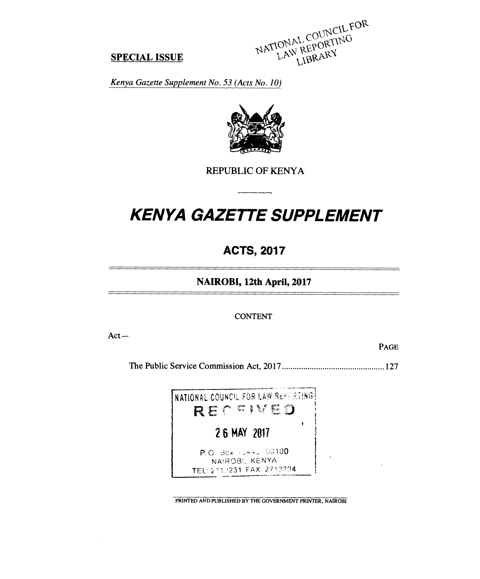NATIONAL COUNCIL FOR IONAL COUNCIL F

#### **SPECIAL ISSUE**

*Kenya Gazette Supplement No. 53 (Acts No. 10)* 



REPUBLIC OF KENYA

# *KENYA GAZETTE SUPPLEMENT*

# **ACTS, 2017**

**NAIROBI, 12th April, 2017** 

CONTENT

Act—

PAGE

The Public Service Commission Act, 2017 127



PRINTED AND PUBLISHED BY THE GOVERNMENT PRINTER, NAIROBI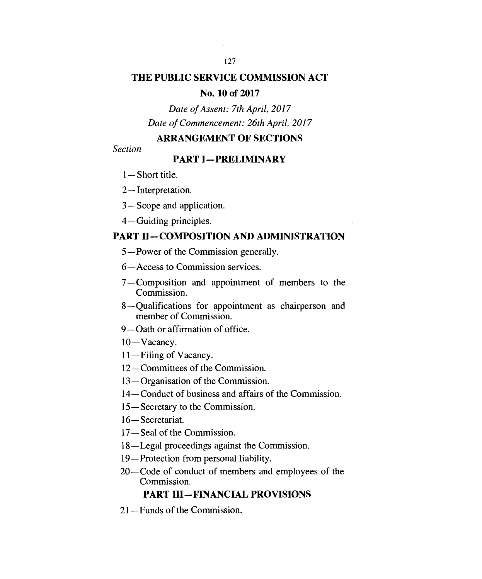# **THE PUBLIC SERVICE COMMISSION ACT**

#### **No. 10 of 2017**

# *Date of Assent: 7th April, 2017 Date of Commencement: 26th April, 2017*

# **ARRANGEMENT OF SECTIONS**

*Section* 

# **PART I—PRELIMINARY**

- 1—Short title.
- 2—Interpretation.
- 3—Scope and application.
- 4—Guiding principles.

# **PART II—COMPOSITION AND ADMINISTRATION**

- 5—Power of the Commission generally.
- 6—Access to Commission services.
- 7 Composition and appointment of members to the Commission.
- 8—Qualifications for appointment as chairperson and member of Commission.
- 9—Oath or affirmation of office.
- 10—Vacancy.
- 11—Filing of Vacancy.
- 12—Committees of the Commission.
- 13—Organisation of the Commission.
- 14—Conduct of business and affairs of the Commission.
- 15—Secretary to the Commission.
- 16—Secretariat.
- 17—Seal of the Commission.
- 18—Legal proceedings against the Commission.
- 19—Protection from personal liability.
- 20—Code of conduct of members and employees of the Commission.

# **PART III—FINANCIAL PROVISIONS**

21—Funds of the Commission.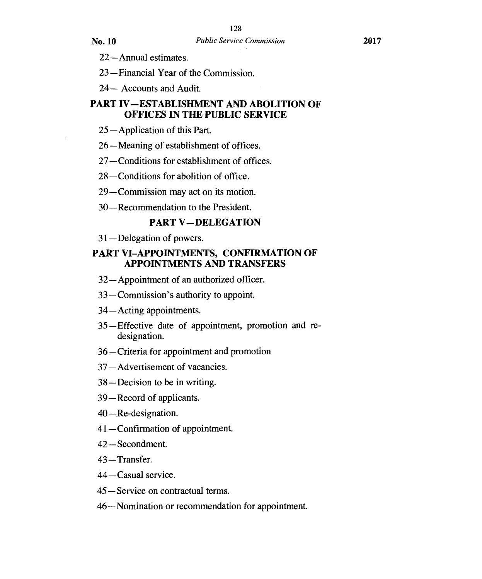22—Annual estimates.

23—Financial Year of the Commission.

24— Accounts and Audit.

# **PART IV—ESTABLISHMENT AND ABOLITION OF OFFICES IN THE PUBLIC SERVICE**

25 — Application of this Part.

26—Meaning of establishment of offices.

27—Conditions for establishment of offices.

28—Conditions for abolition of office.

29—Commission may act on its motion.

30—Recommendation to the President.

#### **PART V—DELEGATION**

31—Delegation of powers.

#### **PART VI—APPOINTMENTS, CONFIRMATION OF APPOINTMENTS AND TRANSFERS**

32—Appointment of an authorized officer.

33—Commission's authority to appoint.

34—Acting appointments.

- 35 Effective date of appointment, promotion and redesignation.
- 36—Criteria for appointment and promotion
- 37—Advertisement of vacancies.
- 38—Decision to be in writing.
- 39—Record of applicants.
- 40—Re-designation.
- 41—Confirmation of appointment.
- 42—Secondment.
- 43—Transfer.
- 44—Casual service.
- 45—Service on contractual terms.
- 46—Nomination or recommendation for appointment.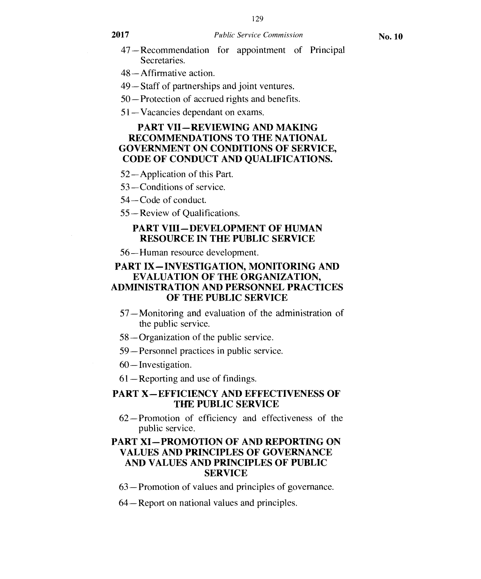- 47—Recommendation for appointment of Principal Secretaries.
- 48—Affirmative action.
- 49—Staff of partnerships and joint ventures.
- 50—Protection of accrued rights and benefits.
- 51—Vacancies dependant on exams.

#### **PART VII—REVIEWING AND MAKING RECOMMENDATIONS TO THE NATIONAL GOVERNMENT ON CONDITIONS OF SERVICE, CODE OF CONDUCT AND QUALIFICATIONS.**

- 52—Application of this Part.
- 53—Conditions of service.
- 54—Code of conduct.
- 55—Review of Qualifications.

#### **PART VIH—DEVELOPMENT OF HUMAN RESOURCE IN THE PUBLIC SERVICE**

56—Human resource development.

#### **PART IX—INVESTIGATION, MONITORING AND EVALUATION OF THE ORGANIZATION, ADMINISTRATION AND PERSONNEL PRACTICES OF THE PUBLIC SERVICE**

- 57—Monitoring and evaluation of the administration of the public service.
- 58—Organization of the public service.
- 59—Personnel practices in public service.
- 60—Investigation.
- 61—Reporting and use of findings.

#### **PART X—EFFICIENCY AND EFFECTIVENESS OF THE PUBLIC SERVICE**

62—Promotion of efficiency and effectiveness of the public service.

#### **PART XI—PROMOTION OF AND REPORTING ON VALUES AND PRINCIPLES OF GOVERNANCE AND VALUES AND PRINCIPLES OF PUBLIC SERVICE**

- 63—Promotion of values and principles of governance.
- 64—Report on national values and principles.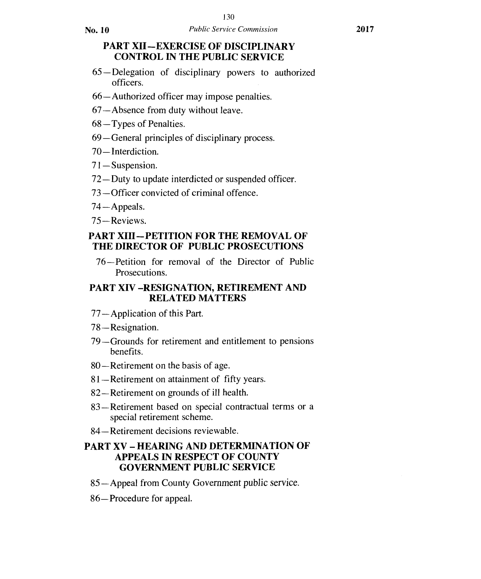No. **10** *Public Service Commission* **<sup>2017</sup>**

# **PART Xll —EXERCISE OF DISCIPLINARY CONTROL IN THE PUBLIC SERVICE**

- 65—Delegation of disciplinary powers to authorized officers.
- 66—Authorized officer may impose penalties.
- 67—Absence from duty without leave.
- 68—Types of Penalties.
- 69—General principles of disciplinary process.
- 70—Interdiction.
- 71— Suspension.
- 72—Duty to update interdicted or suspended officer.
- 73—Officer convicted of criminal offence.
- 74 —Appeals.
- 75 —Reviews.

# **PART XIII—PETITION FOR THE REMOVAL OF THE DIRECTOR OF PUBLIC PROSECUTIONS**

76—Petition for removal of the Director of Public Prosecutions.

# **PART XIV —RESIGNATION, RETIREMENT AND RELATED MATTERS**

- 77— Application of this Part.
- 78—Resignation.
- 79—Grounds for retirement and entitlement to pensions benefits.
- 80—Retirement on the basis of age.
- 81—Retirement on attainment of fifty years.
- 82—Retirement on grounds of ill health.
- 83—Retirement based on special contractual terms or a special retirement scheme.
- 84—Retirement decisions reviewable.

# **PART XV — HEARING AND DETERMINATION OF APPEALS IN RESPECT OF COUNTY GOVERNMENT PUBLIC SERVICE**

- 85—Appeal from County Government public service.
- 86—Procedure for appeal.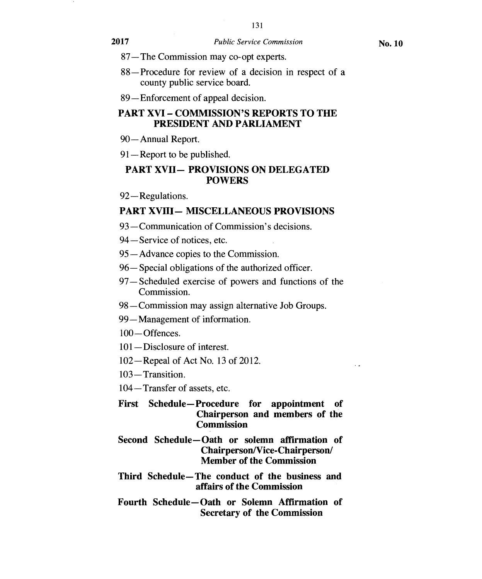- 87—The Commission may co-opt experts.
- 88—Procedure for review of a decision in respect of a county public service board.
- 89—Enforcement of appeal decision.

# **PART XVI — COMMISSION'S REPORTS TO THE PRESIDENT AND PARLIAMENT**

- 90—Annual Report.
- 91—Report to be published.

# **PART XVII— PROVISIONS ON DELEGATED POWERS**

92—Regulations.

#### **PART XVIII— MISCELLANEOUS PROVISIONS**

- 93—Communication of Commission's decisions.
- 94—Service of notices, etc.
- 95—Advance copies to the Commission.
- 96—Special obligations of the authorized officer.
- 97—Scheduled exercise of powers and functions of the Commission.
- 98—Commission may assign alternative Job Groups.
- 99—Management of information.
- 100— Offences.
- 101—Disclosure of interest.
- 102—Repeal of Act No. 13 of 2012.
- 103 Transition.
- 104—Transfer of assets, etc.
- **First Schedule—Procedure for appointment of Chairperson and members of the Commission**
- **Second Schedule—Oath or solemn affirmation of Chairperson/Vice-Chairperson/ Member of the Commission**
- **Third Schedule—The conduct of the business and affairs of the Commission**
- **Fourth Schedule—Oath or Solemn Affirmation of Secretary of the Commission**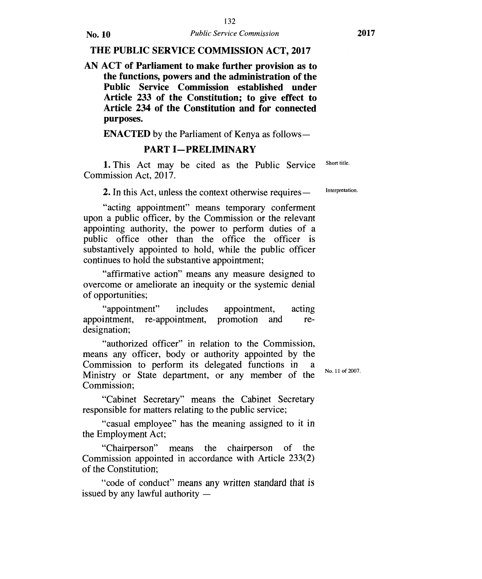#### **THE PUBLIC SERVICE COMMISSION ACT, 2017**

**AN ACT of Parliament to make further provision as to the functions, powers and the administration of the Public Service Commission established under Article 233 of the Constitution; to give effect to Article 234 of the Constitution and for connected purposes.** 

**ENACTED** by the Parliament of Kenya as follows

#### **PART I-PRELIMINARY**

1. This Act may be cited as the Public Service Short title. Commission Act, 2017.

2. In this Act, unless the context otherwise requires —

Interpretation.

"acting appointment" means temporary conferment upon a public officer, by the Commission or the relevant appointing authority, the power to perform duties of a public office other than the office the officer is substantively appointed to hold, while the public officer continues to hold the substantive appointment;

"affirmative action" means any measure designed to overcome or ameliorate an inequity or the systemic denial of opportunities;

"appointment" includes appointment, acting appointment, re-appointment, promotion and redesignation;

"authorized officer" in relation to the Commission, means any officer, body or authority appointed by the Commission to perform its delegated functions in a Ministry or State department, or any member of the Commission;

No. 11 of 2007.

"Cabinet Secretary" means the Cabinet Secretary responsible for matters relating to the public service;

"casual employee" has the meaning assigned to it in the Employment Act;

"Chairperson" means the chairperson of the Commission appointed in accordance with Article 233(2) of the Constitution;

"code of conduct" means any written standard that is issued by any lawful authority —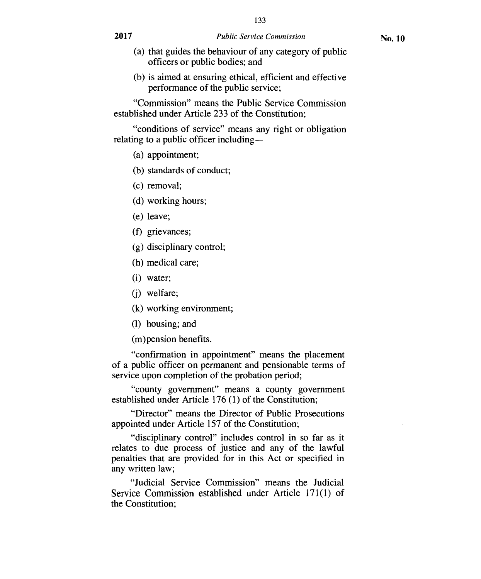- (a) that guides the behaviour of any category of public officers or public bodies; and
- (b) is aimed at ensuring ethical, efficient and effective performance of the public service;

"Commission" means the Public Service Commission established under Article 233 of the Constitution;

"conditions of service" means any right or obligation relating to a public officer including —

(a) appointment;

(b) standards of conduct;

- (c) removal;
- (d) working hours;
- (e) leave;
- (f) grievances;
- (g) disciplinary control;
- (h) medical care;
- (i) water;
- (j) welfare;
- (k) working environment;
- (1) housing; and

(m)pension benefits.

"confirmation in appointment" means the placement of a public officer on permanent and pensionable terms of service upon completion of the probation period;

"county government" means a county government established under Article 176 (1) of the Constitution;

"Director" means the Director of Public Prosecutions appointed under Article 157 of the Constitution;

"disciplinary control" includes control in so far as it relates to due process of justice and any of the lawful penalties that are provided for in this Act or specified in any written law;

"Judicial Service Commission" means the Judicial Service Commission established under Article 171(1) of the Constitution;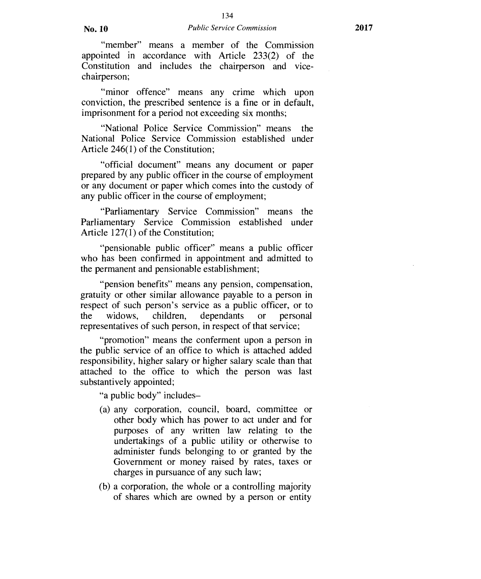"member" means a member of the Commission appointed in accordance with Article 233(2) of the Constitution and includes the chairperson and vicechairperson;

"minor offence" means any crime which upon conviction, the prescribed sentence is a fine or in default, imprisonment for a period not exceeding six months;

"National Police Service Commission" means the National Police Service Commission established under Article 246(1) of the Constitution;

"official document" means any document or paper prepared by any public officer in the course of employment or any document or paper which comes into the custody of any public officer in the course of employment;

"Parliamentary Service Commission" means the Parliamentary Service Commission established under Article 127(1) of the Constitution;

"pensionable public officer" means a public officer who has been confirmed in appointment and admitted to the permanent and pensionable establishment;

"pension benefits" means any pension, compensation, gratuity or other similar allowance payable to a person in respect of such person's service as a public officer, or to the widows, children, dependants or personal representatives of such person, in respect of that service;

"promotion" means the conferment upon a person in the public service of an office to which is attached added responsibility, higher salary or higher salary scale than that attached to the office to which the person was last substantively appointed;

"a public body" includes—

- (a) any corporation, council, board, committee or other body which has power to act under and for purposes of any written law relating to the undertakings of a public utility or otherwise to administer funds belonging to or granted by the Government or money raised by rates, taxes or charges in pursuance of any such law;
- (b) a corporation, the whole or a controlling majority of shares which are owned by a person or entity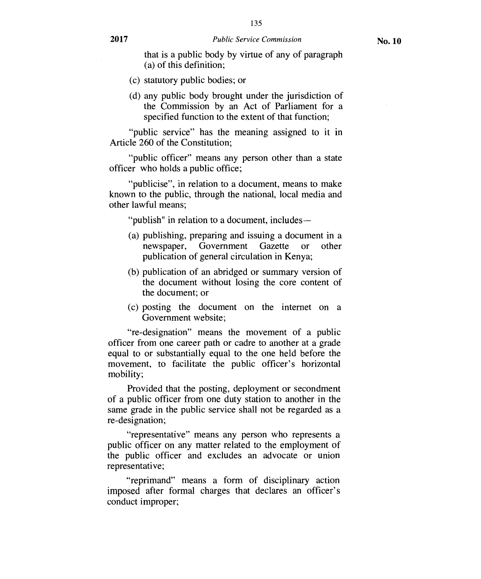- (c) statutory public bodies; or
- (d) any public body brought under the jurisdiction of the Commission by an Act of Parliament for a specified function to the extent of that function;

"public service" has the meaning assigned to it in Article 260 of the Constitution;

"public officer" means any person other than a state officer who holds a public office;

"publicise", in relation to a document, means to make known to the public, through the national, local media and other lawful means;

"publish" in relation to a document, includes —

- (a) publishing, preparing and issuing a document in a newspaper, Government Gazette or other publication of general circulation in Kenya;
- (b) publication of an abridged or summary version of the document without losing the core content of the document; or
- (c) posting the document on the internet on a Government website;

"re-designation" means the movement of a public officer from one career path or cadre to another at a grade equal to or substantially equal to the one held before the movement, to facilitate the public officer's horizontal mobility;

Provided that the posting, deployment or secondment of a public officer from one duty station to another in the same grade in the public service shall not be regarded as a re-designation;

"representative" means any person who represents a public officer on any matter related to the employment of the public officer and excludes an advocate or union representative;

"reprimand" means a form of disciplinary action imposed after formal charges that declares an officer's conduct improper;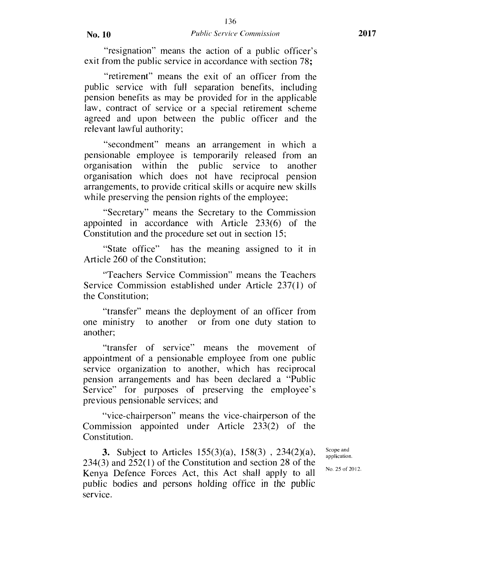"resignation" means the action of a public officer's exit from the public service in accordance with section 78;

"retirement" means the exit of an officer from the public service with full separation benefits, including pension benefits as may be provided for in the applicable law, contract of service or a special retirement scheme agreed and upon between the public officer and the relevant lawful authority;

"secondment" means an arrangement in which a pensionable employee is temporarily released from an organisation within the public service to another organisation which does not have reciprocal pension arrangements, to provide critical skills or acquire new skills while preserving the pension rights of the employee;

"Secretary" means the Secretary to the Commission appointed in accordance with Article 233(6) of the Constitution and the procedure set out in section 15;

"State office" has the meaning assigned to it in Article 260 of the Constitution;

"Teachers Service Commission" means the Teachers Service Commission established under Article 237(1) of the Constitution;

"transfer" means the deployment of an officer from one ministry to another or from one duty station to another;

"transfer of service" means the movement of appointment of a pensionable employee from one public service organization to another, which has reciprocal pension arrangements and has been declared a "Public Service" for purposes of preserving the employee's previous pensionable services; and

"vice-chairperson" means the vice-chairperson of the Commission appointed under Article 233(2) of the Constitution.

3. Subject to Articles 155(3)(a), 158(3) , 234(2)(a), 234(3) and 252(1) of the Constitution and section 28 of the Kenya Defence Forces Act, this Act shall apply to all public bodies and persons holding office in the public service.

Scope and application.

No. 25 of 2012.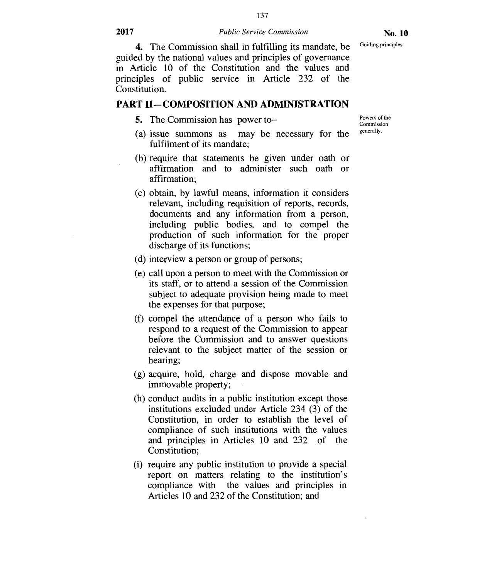137

**No. 10**  Guiding principles.

4. The Commission shall in fulfilling its mandate, be guided by the national values and principles of governance in Article 10 of the Constitution and the values and principles of public service in Article 232 of the Constitution.

#### **PART II—COMPOSITION AND ADMINISTRATION**

5. The Commission has power to—

Powers of the Commission generally.

- (a) issue summons as may be necessary for the fulfilment of its mandate;
- (b) require that statements be given under oath or affirmation and to administer such oath or affirmation;
- (c) obtain, by lawful means, information it considers relevant, including requisition of reports, records, documents and any information from a person, including public bodies, and to compel the production of such information for the proper discharge of its functions;
- (d) interview a person or group of persons;
- (e) call upon a person to meet with the Commission or its staff, or to attend a session of the Commission subject to adequate provision being made to meet the expenses for that purpose;
- (f) compel the attendance of a person who fails to respond to a request of the Commission to appear before the Commission and to answer questions relevant to the subject matter of the session or hearing;
- (g) acquire, hold, charge and dispose movable and immovable property;
- (h) conduct audits in a public institution except those institutions excluded under Article 234 (3) of the Constitution, in order to establish the level of compliance of such institutions with the values and principles in Articles 10 and 232 of the Constitution;
- (i) require any public institution to provide a special report on matters relating to the institution's compliance with the values and principles in Articles 10 and 232 of the Constitution; and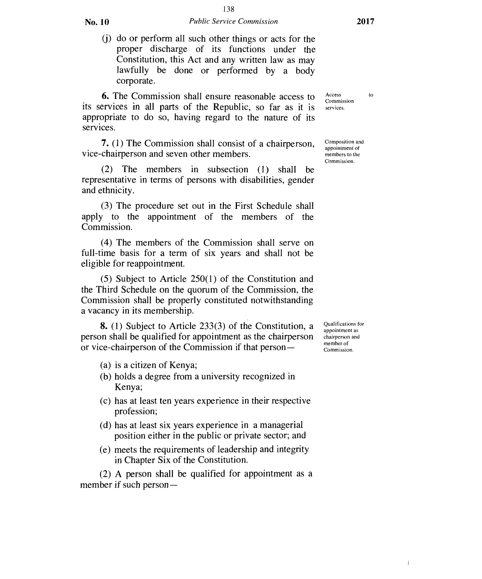(j) do or perform all such other things or acts for the proper discharge of its functions under the Constitution, this Act and any written law as may lawfully be done or performed by a body corporate.

**6.** The Commission shall ensure reasonable access to its services in all parts of the Republic, so far as it is appropriate to do so, having regard to the nature of its services.

**7.** (1) The Commission shall consist of a chairperson, vice-chairperson and seven other members.

(2) The members in subsection (1) shall be representative in terms of persons with disabilities, gender and ethnicity.

(3) The procedure set out in the First Schedule shall apply to the appointment of the members of the Commission.

(4) The members of the Commission shall serve on full-time basis for a term of six years and shall not be eligible for reappointment.

(5) Subject to Article 250(1) of the Constitution and the Third Schedule on the quorum of the Commission, the Commission shall be properly constituted notwithstanding a vacancy in its membership.

**8.** (1) Subject to Article 233(3) of the Constitution, a person shall be qualified for appointment as the chairperson or vice-chairperson of the Commission if that person —

- (a) is a citizen of Kenya;
- (b) holds a degree from a university recognized in Kenya;
- (c) has at least ten years experience in their respective profession;
- (d) has at least six years experience in a managerial position either in the public or private sector; and
- (e) meets the requirements of leadership and integrity in Chapter Six of the Constitution.

(2) A person shall be qualified for appointment as a member if such person —

Access to Commission services.

Composition and appointment of members to the Commission.

Qualifications for appointment as chairperson and member of Commission.

d.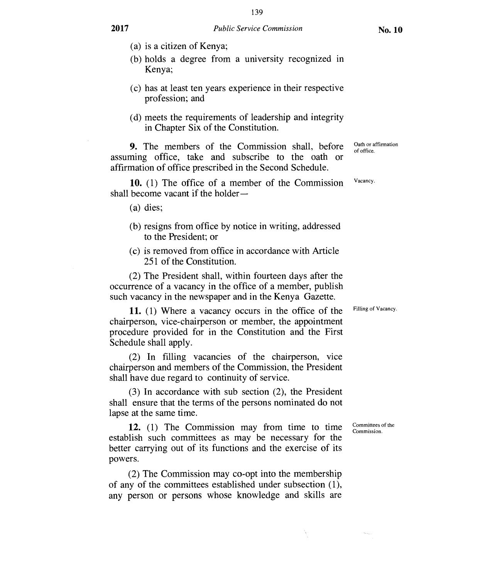- (a) is a citizen of Kenya;
- (b) holds a degree from a university recognized in Kenya;
- (c) has at least ten years experience in their respective profession; and
- (d) meets the requirements of leadership and integrity in Chapter Six of the Constitution.

**9.** The members of the Commission shall, before assuming office, take and subscribe to the oath or affirmation of office prescribed in the Second Schedule.

**10.** (1) The office of a member of the Commission shall become vacant if the holder—

(a) dies;

- (b) resigns from office by notice in writing, addressed to the President; or
- (c) is removed from office in accordance with Article 251 of the Constitution.

(2) The President shall, within fourteen days after the occurrence of a vacancy in the office of a member, publish such vacancy in the newspaper and in the Kenya Gazette.

**11.** (1) Where a vacancy occurs in the office of the chairperson, vice-chairperson or member, the appointment procedure provided for in the Constitution and the First Schedule shall apply.

(2) In filling vacancies of the chairperson, vice chairperson and members of the Commission, the President shall have due regard to continuity of service.

(3) In accordance with sub section (2), the President shall ensure that the terms of the persons nominated do not lapse at the same time.

**12.** (1) The Commission may from time to time establish such committees as may be necessary for the better carrying out of its functions and the exercise of its powers.

(2) The Commission may co-opt into the membership of any of the committees established under subsection (1), any person or persons whose knowledge and skills are Filling of Vacancy.

Committees of the Commission.

Oath or affirmation of office.

Vacancy.

**No. 10**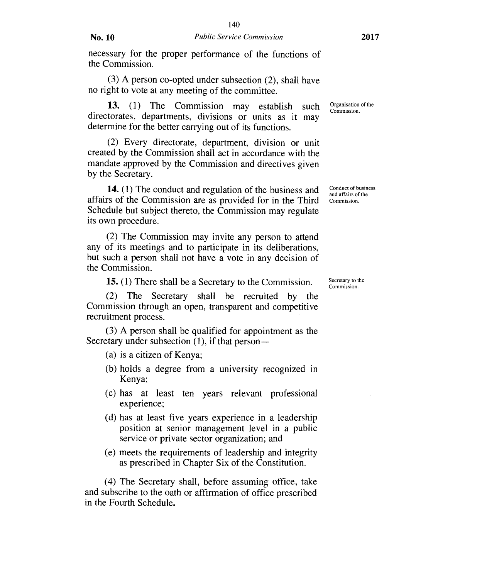(3) A person co-opted under subsection (2), shall have no right to vote at any meeting of the committee.

13. (1) The Commission may establish such directorates, departments, divisions or units as it may determine for the better carrying out of its functions.

(2) Every directorate, department, division or unit created by the Commission shall act in accordance with the mandate approved by the Commission and directives given by the Secretary.

14. (1) The conduct and regulation of the business and affairs of the Commission are as provided for in the Third Schedule but subject thereto, the Commission may regulate its own procedure.

(2) The Commission may invite any person to attend any of its meetings and to participate in its deliberations, but such a person shall not have a vote in any decision of the Commission.

15. (1) There shall be a Secretary to the Commission.

(2) The Secretary shall be recruited by the Commission through an open, transparent and competitive recruitment process.

(3) A person shall be qualified for appointment as the Secretary under subsection  $(1)$ , if that person —

- (a) is a citizen of Kenya;
- (b) holds a degree from a university recognized in Kenya;
- (c) has at least ten years relevant professional experience;
- (d) has at least five years experience in a leadership position at senior management level in a public service or private sector organization; and
- (e) meets the requirements of leadership and integrity as prescribed in Chapter Six of the Constitution.

(4) The Secretary shall, before assuming office, take and subscribe to the oath or affirmation of office prescribed in the Fourth Schedule.

Organisation of the Commission.

Conduct of business and affairs of the Commission.

Secretary to the Commission.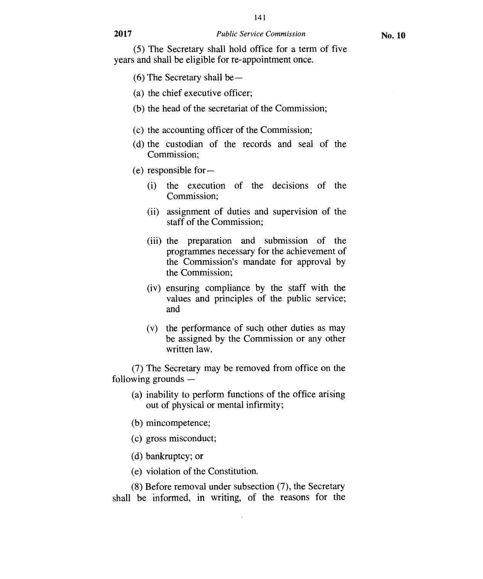141

(5) The Secretary shall hold office for a term of five years and shall be eligible for re-appointment once.

- (6) The Secretary shall be —
- (a) the chief executive officer;
- (b) the head of the secretariat of the Commission;
- (c) the accounting officer of the Commission;
- (d) the custodian of the records and seal of the Commission;
- (e) responsible for
	- (i) the execution of the decisions of the Commission;
	- (ii) assignment of duties and supervision of the staff of the Commission;
	- (iii) the preparation and submission of the programmes necessary for the achievement of the Commission's mandate for approval by the Commission;
	- (iv) ensuring compliance by the staff with the values and principles of the public service; and
	- (v) the performance of such other duties as may be assigned by the Commission or any other written law.

(7) The Secretary may be removed from office on the following grounds —

- (a) inability to perform functions of the office arising out of physical or mental infirmity;
- (b) mincompetence;
- (c) gross misconduct;
- (d) bankruptcy; or
- (e) violation of the Constitution.

(8) Before removal under subsection (7), the Secretary shall be informed, in writing, of the reasons for the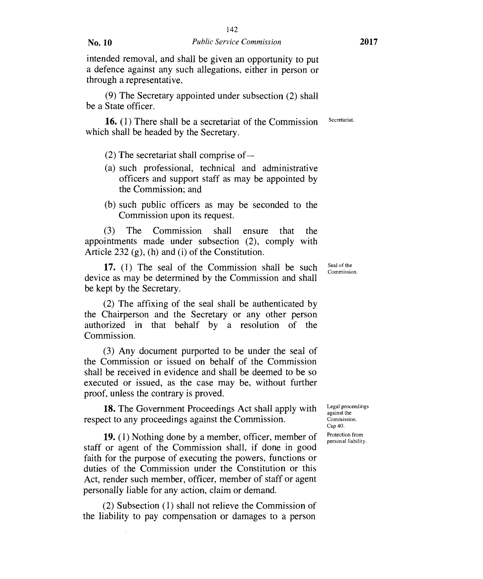intended removal, and shall be given an opportunity to put a defence against any such allegations, either in person or through a representative.

(9) The Secretary appointed under subsection (2) shall be a State officer.

**16.** (1) There shall be a secretariat of the Commission which shall be headed by the Secretary.

- (2) The secretariat shall comprise of —
- (a) such professional, technical and administrative officers and support staff as may be appointed by the Commission; and
- (b) such public officers as may be seconded to the Commission upon its request.

(3) The Commission shall ensure that the appointments made under subsection (2), comply with Article 232 (g), (h) and (i) of the Constitution.

**17.** (1) The seal of the Commission shall be such device as may be determined by the Commission and shall be kept by the Secretary.

(2) The affixing of the seal shall be authenticated by the Chairperson and the Secretary or any other person authorized in that behalf by a resolution of the Commission.

(3) Any document purported to be under the seal of the Commission or issued on behalf of the Commission shall be received in evidence and shall be deemed to be so executed or issued, as the case may be, without further proof, unless the contrary is proved.

**18.** The Government Proceedings Act shall apply with respect to any proceedings against the Commission.

**19.** (1) Nothing done by a member, officer, member of staff or agent of the Commission shall, if done in good faith for the purpose of executing the powers, functions or duties of the Commission under the Constitution or this Act, render such member, officer, member of staff or agent personally liable for any action, claim or demand.

(2) Subsection (1) shall not relieve the Commission of the liability to pay compensation or damages to a person

Legal proceedings against the Commission. Cap 40. Protection from personal liability.

Seal of the Commission.

Secretariat.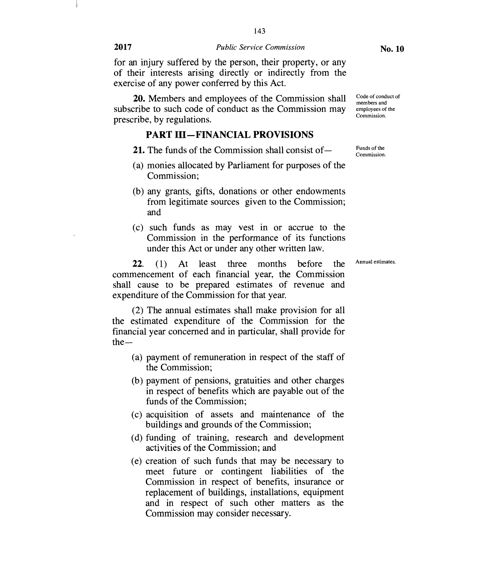**20.** Members and employees of the Commission shall subscribe to such code of conduct as the Commission may prescribe, by regulations.

#### **PART HI—FINANCIAL PROVISIONS**

- **21.** The funds of the Commission shall consist of—
- (a) monies allocated by Parliament for purposes of the Commission;
- (b) any grants, gifts, donations or other endowments from legitimate sources given to the Commission; and
- (c) such funds as may vest in or accrue to the Commission in the performance of its functions under this Act or under any other written law.

**22. (1)** At least three months before the commencement of each financial year, the Commission shall cause to be prepared estimates of revenue and expenditure of the Commission for that year.

(2) The annual estimates shall make provision for all the estimated expenditure of the Commission for the financial year concerned and in particular, shall provide for the—

- (a) payment of remuneration in respect of the staff of the Commission;
- (b) payment of pensions, gratuities and other charges in respect of benefits which are payable out of the funds of the Commission;
- (c) acquisition of assets and maintenance of the buildings and grounds of the Commission;
- (d) funding of training, research and development activities of the Commission; and
- (e) creation of such funds that may be necessary to meet future or contingent liabilities of the Commission in respect of benefits, insurance or replacement of buildings, installations, equipment and in respect of such other matters as the Commission may consider necessary.

**No. 10** 

Code of conduct of members and employees of the Commission.

Funds of the Commission.

Annual estimates.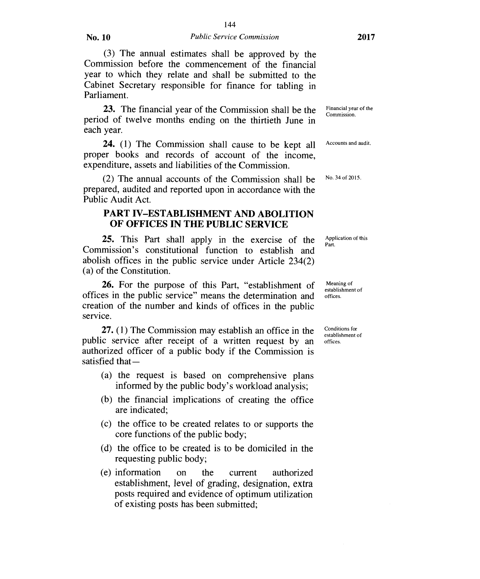(3) The annual estimates shall be approved by the Commission before the commencement of the financial year to which they relate and shall be submitted to the Cabinet Secretary responsible for finance for tabling in Parliament.

23. The financial year of the Commission shall be the period of twelve months ending on the thirtieth June in each year.

24. (1) The Commission shall cause to be kept all proper books and records of account of the income, expenditure, assets and liabilities of the Commission.

(2) The annual accounts of the Commission shall be prepared, audited and reported upon in accordance with the Public Audit Act.

# **PART IV—ESTABLISHMENT AND ABOLITION OF OFFICES IN THE PUBLIC SERVICE**

25. This Part shall apply in the exercise of the Commission's constitutional function to establish and abolish offices in the public service under Article 234(2) (a) of the Constitution.

26. For the purpose of this Part, "establishment of offices in the public service" means the determination and creation of the number and kinds of offices in the public service.

27. (1) The Commission may establish an office in the public service after receipt of a written request by an authorized officer of a public body if the Commission is satisfied that —

- (a) the request is based on comprehensive plans informed by the public body's workload analysis;
- (b) the financial implications of creating the office are indicated;
- (c) the office to be created relates to or supports the core functions of the public body;
- (d) the office to be created is to be domiciled in the requesting public body;
- (e) information on the current authorized establishment, level of grading, designation, extra posts required and evidence of optimum utilization of existing posts has been submitted;

Financial year of the Commission.

Accounts and audit.

No. 34 of 2015.

Application of this Part.

Meaning of establishment of offices.

Conditions for establishment of offices.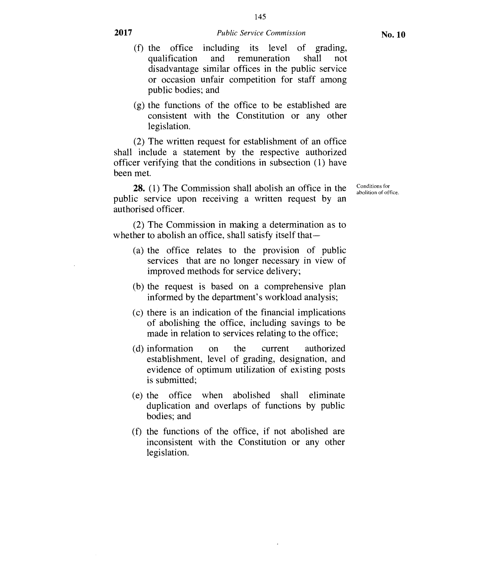(g) the functions of the office to be established are consistent with the Constitution or any other legislation.

(2) The written request for establishment of an office shall include a statement by the respective authorized officer verifying that the conditions in subsection (1) have been met.

public bodies; and

**28.** (1) The Commission shall abolish an office in the public service upon receiving a written request by an authorised officer.

(2) The Commission in making a determination as to whether to abolish an office, shall satisfy itself that—

- (a) the office relates to the provision of public services that are no longer necessary in view of improved methods for service delivery;
- (b) the request is based on a comprehensive plan informed by the department's workload analysis;
- (c) there is an indication of the financial implications of abolishing the office, including savings to be made in relation to services relating to the office;
- (d) information on the current authorized establishment, level of grading, designation, and evidence of optimum utilization of existing posts is submitted;
- (e) the office when abolished shall eliminate duplication and overlaps of functions by public bodies; and
- (f) the functions of the office, if not abolished are inconsistent with the Constitution or any other legislation.

**No. 10** 

Conditions for abolition of office.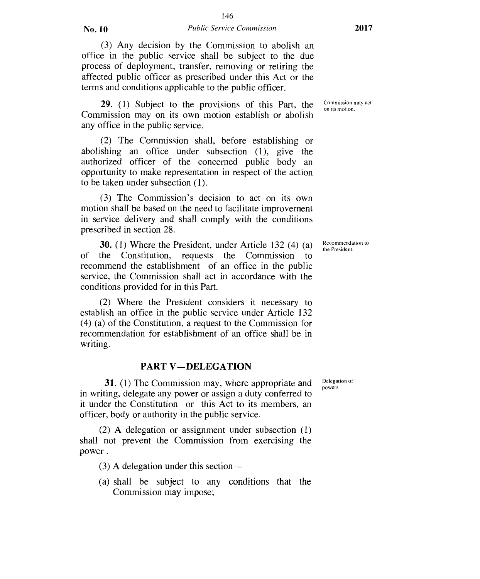#### No. 10 *Public Service Commission* 2017

(3) Any decision by the Commission to abolish an office in the public service shall be subject to the due process of deployment, transfer, removing or retiring the affected public officer as prescribed under this Act or the terms and conditions applicable to the public officer.

**29.** (1) Subject to the provisions of this Part, the Commission may on its own motion establish or abolish any office in the public service.

(2) The Commission shall, before establishing or abolishing an office under subsection (1), give the authorized officer of the concerned public body an opportunity to make representation in respect of the action to be taken under subsection (1).

(3) The Commission's decision to act on its own motion shall be based on the need to facilitate improvement in service delivery and shall comply with the conditions prescribed in section 28.

**30.** (1) Where the President, under Article 132 (4) (a) of the Constitution, requests the Commission to recommend the establishment of an office in the public service, the Commission shall act in accordance with the conditions provided for in this Part.

(2) Where the President considers it necessary to establish an office in the public service under Article 132 (4) (a) of the Constitution, a request to the Commission for recommendation for establishment of an office shall be in writing.

#### **PART V —DELEGATION**

**31.** (1) The Commission may, where appropriate and in writing, delegate any power or assign a duty conferred to it under the Constitution or this Act to its members, an officer, body or authority in the public service.

(2) A delegation or assignment under subsection (1) shall not prevent the Commission from exercising the power .

(3) A delegation under this section —

(a) shall be subject to any conditions that the Commission may impose;

Commission may act on its motion.

Recommendation to the President.

Delegation of powers.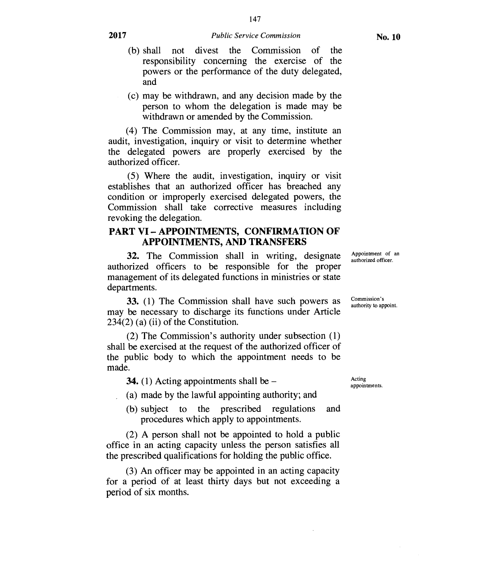- (b) shall not divest the Commission of the responsibility concerning the exercise of the powers or the performance of the duty delegated, and
- (c) may be withdrawn, and any decision made by the person to whom the delegation is made may be withdrawn or amended by the Commission.

(4) The Commission may, at any time, institute an audit, investigation, inquiry or visit to determine whether the delegated powers are properly exercised by the authorized officer.

(5) Where the audit, investigation, inquiry or visit establishes that an authorized officer has breached any condition or improperly exercised delegated powers, the Commission shall take corrective measures including revoking the delegation.

### **PART VI — APPOINTMENTS, CONFIRMATION OF APPOINTMENTS, AND TRANSFERS**

32. The Commission shall in writing, designate authorized officers to be responsible for the proper management of its delegated functions in ministries or state departments.

33. (1) The Commission shall have such powers as may be necessary to discharge its functions under Article 234(2) (a) (ii) of the Constitution.

(2) The Commission's authority under subsection (1) shall be exercised at the request of the authorized officer of the public body to which the appointment needs to be made.

**34.** (1) Acting appointments shall be  $-$ 

- (a) made by the lawful appointing authority; and
- (b) subject to the prescribed regulations and procedures which apply to appointments.

(2) A person shall not be appointed to hold a public office in an acting capacity unless the person satisfies all the prescribed qualifications for holding the public office.

(3) An officer may be appointed in an acting capacity for a period of at least thirty days but not exceeding a period of six months.

Acting appointments.

Appointment of an authorized officer.

Commission's authority to appoint.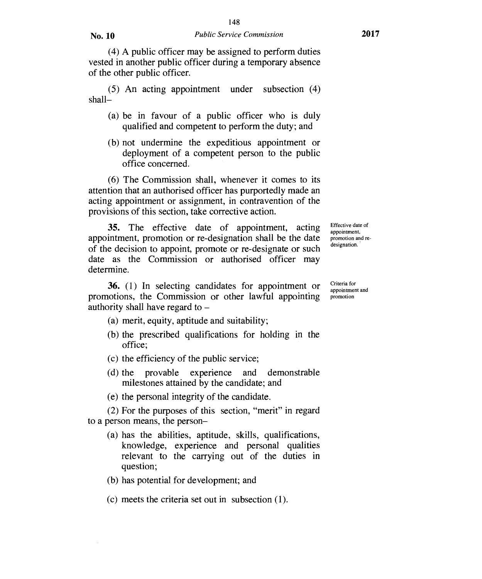(4) A public officer may be assigned to perform duties vested in another public officer during a temporary absence of the other public officer.

(5) An acting appointment under subsection (4) shall—

- (a) be in favour of a public officer who is duly qualified and competent to perform the duty; and
- (b) not undermine the expeditious appointment or deployment of a competent person to the public office concerned.

(6) The Commission shall, whenever it comes to its attention that an authorised officer has purportedly made an acting appointment or assignment, in contravention of the provisions of this section, take corrective action.

35. The effective date of appointment, acting appointment, promotion or re-designation shall be the date of the decision to appoint, promote or re-designate or such date as the Commission or authorised officer may determine.

Effective date of appointment, promotion and redesignation.

Criteria for appointment and promotion

36. (1) In selecting candidates for appointment or promotions, the Commission or other lawful appointing authority shall have regard to —

- (a) merit, equity, aptitude and suitability;
- (b) the prescribed qualifications for holding in the office;
- (c) the efficiency of the public service;
- (d) the provable experience and demonstrable milestones attained by the candidate; and
- (e) the personal integrity of the candidate.

(2) For the purposes of this section, "merit" in regard to a person means, the person—

- (a) has the abilities, aptitude, skills, qualifications, knowledge, experience and personal qualities relevant to the carrying out of the duties in question;
- (b) has potential for development; and
- (c) meets the criteria set out in subsection (1).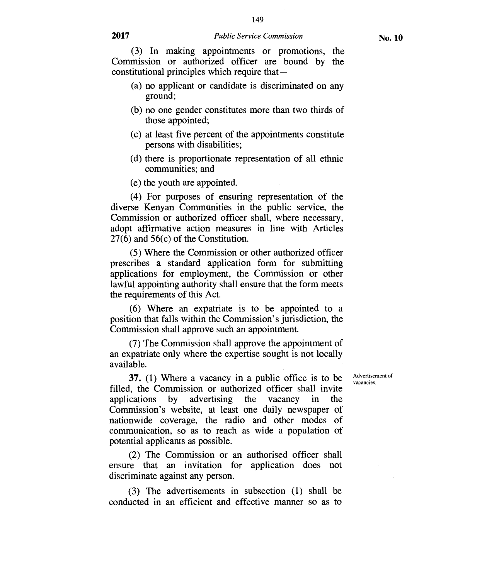149

(3) In making appointments or promotions, the Commission or authorized officer are bound by the constitutional principles which require that —

- (a) no applicant or candidate is discriminated on any ground;
- (b) no one gender constitutes more than two thirds of those appointed;
- (c) at least five percent of the appointments constitute persons with disabilities;
- (d) there is proportionate representation of all ethnic communities; and
- (e) the youth are appointed.

(4) For purposes of ensuring representation of the diverse Kenyan Communities in the public service, the Commission or authorized officer shall, where necessary, adopt affirmative action measures in line with Articles 27(6) and 56(c) of the Constitution.

(5) Where the Commission or other authorized officer prescribes a standard application form for submitting applications for employment, the Commission or other lawful appointing authority shall ensure that the form meets the requirements of this Act.

(6) Where an expatriate is to be appointed to a position that falls within the Commission's jurisdiction, the Commission shall approve such an appointment.

(7) The Commission shall approve the appointment of an expatriate only where the expertise sought is not locally available.

37. (1) Where a vacancy in a public office is to be filled, the Commission or authorized officer shall invite<br>applications by advertising the vacancy in the advertising the vacancy in the Commission's website, at least one daily newspaper of nationwide coverage, the radio and other modes of communication, so as to reach as wide a population of potential applicants as possible.

(2) The Commission or an authorised officer shall ensure that an invitation for application does not discriminate against any person.

(3) The advertisements in subsection (1) shall be conducted in an efficient and effective manner so as to Advertisement of vacancies.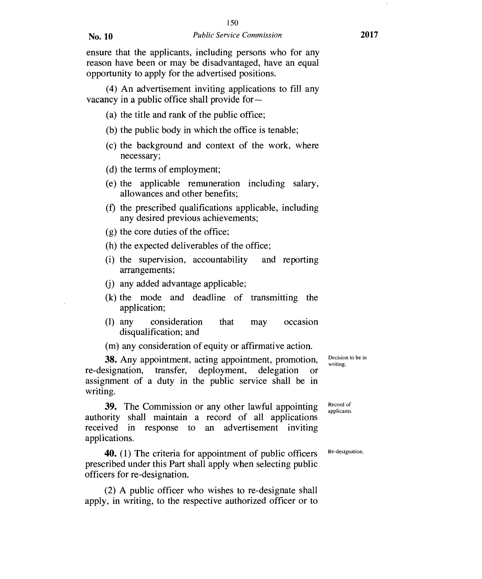(4) An advertisement inviting applications to fill any vacancy in a public office shall provide for —

- (a) the title and rank of the public office;
- (b) the public body in which the office is tenable;
- (c) the background and context of the work, where necessary;
- (d) the terms of employment;
- (e) the applicable remuneration including salary, allowances and other benefits;
- (f) the prescribed qualifications applicable, including any desired previous achievements;
- (g) the core duties of the office;
- (h) the expected deliverables of the office;
- (i) the supervision, accountability and reporting arrangements;
- (j) any added advantage applicable;
- (k) the mode and deadline of transmitting the application;
- (1) any consideration that may occasion disqualification; and

(m) any consideration of equity or affirmative action.

38. Any appointment, acting appointment, promotion, re-designation, transfer, deployment, delegation or assignment of a duty in the public service shall be in writing.

39. The Commission or any other lawful appointing authority shall maintain a record of all applications received in response to an advertisement inviting applications.

40. (1) The criteria for appointment of public officers prescribed under this Part shall apply when selecting public officers for re-designation.

(2) A public officer who wishes to re-designate shall apply, in writing, to the respective authorized officer or to Decision to be in writing.

Record of applicants.

Re-designation.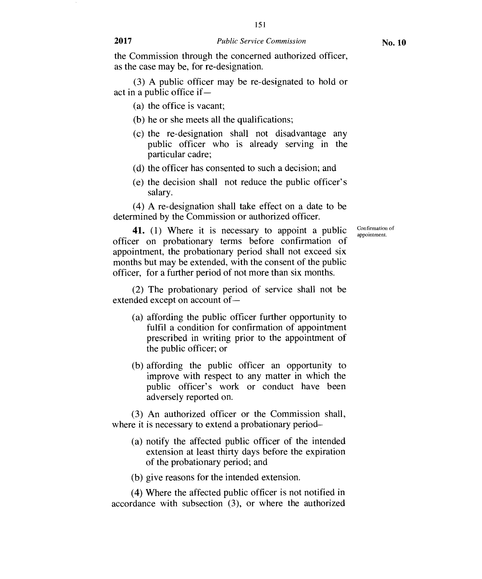the Commission through the concerned authorized officer, as the case may be, for re-designation.

(3) A public officer may be re-designated to hold or act in a public office if —

- (a) the office is vacant;
- (b) he or she meets all the qualifications;
- (c) the re-designation shall not disadvantage any public officer who is already serving in the particular cadre;
- (d) the officer has consented to such a decision; and
- (e) the decision shall not reduce the public officer's salary.

(4) A re-designation shall take effect on a date to be determined by the Commission or authorized officer.

**41.** (1) Where it is necessary to appoint a public officer on probationary terms before confirmation of appointment, the probationary period shall not exceed six months but may be extended, with the consent of the public officer, for a further period of not more than six months.

(2) The probationary period of service shall not be extended except on account of —

- (a) affording the public officer further opportunity to fulfil a condition for confirmation of appointment prescribed in writing prior to the appointment of the public officer; or
- (b) affording the public officer an opportunity to improve with respect to any matter in which the public officer's work or conduct have been adversely reported on.

(3) An authorized officer or the Commission shall, where it is necessary to extend a probationary period–

- (a) notify the affected public officer of the intended extension at least thirty days before the expiration of the probationary period; and
- (b) give reasons for the intended extension.

(4) Where the affected public officer is not notified in accordance with subsection (3), or where the authorized Confirmation of appointment.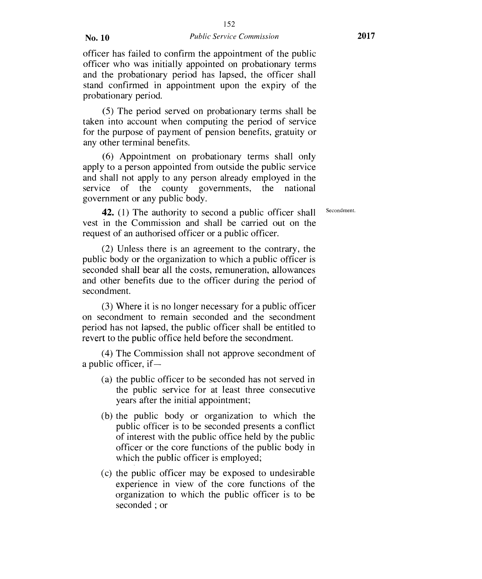officer has failed to confirm the appointment of the public officer who was initially appointed on probationary terms and the probationary period has lapsed, the officer shall stand confirmed in appointment upon the expiry of the probationary period.

(5) The period served on probationary terms shall be taken into account when computing the period of service for the purpose of payment of pension benefits, gratuity or any other terminal benefits.

(6) Appointment on probationary terms shall only apply to a person appointed from outside the public service and shall not apply to any person already employed in the service of the county governments, the national government or any public body.

**42.** (1) The authority to second a public officer shall vest in the Commission and shall be carried out on the request of an authorised officer or a public officer.

(2) Unless there is an agreement to the contrary, the public body or the organization to which a public officer is seconded shall bear all the costs, remuneration, allowances and other benefits due to the officer during the period of secondment.

(3) Where it is no longer necessary for a public officer on secondment to remain seconded and the secondment period has not lapsed, the public officer shall be entitled to revert to the public office held before the secondment.

(4) The Commission shall not approve secondment of a public officer, if —

- (a) the public officer to be seconded has not served in the public service for at least three consecutive years after the initial appointment;
- (b) the public body or organization to which the public officer is to be seconded presents a conflict of interest with the public office held by the public officer or the core functions of the public body in which the public officer is employed;
- (c) the public officer may be exposed to undesirable experience in view of the core functions of the organization to which the public officer is to be seconded ; or

Secondment.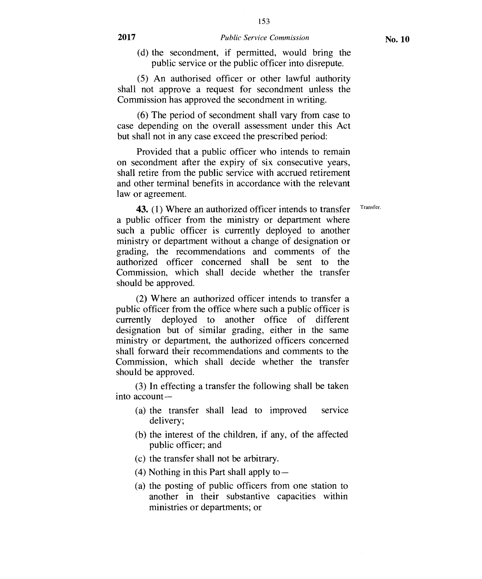(d) the secondment, if permitted, would bring the public service or the public officer into disrepute.

(5) An authorised officer or other lawful authority shall not approve a request for secondment unless the Commission has approved the secondment in writing.

(6) The period of secondment shall vary from case to case depending on the overall assessment under this Act but shall not in any case exceed the prescribed period:

Provided that a public officer who intends to remain on secondment after the expiry of six consecutive years, shall retire from the public service with accrued retirement and other terminal benefits in accordance with the relevant law or agreement.

43. (1) Where an authorized officer intends to transfer Transfer. a public officer from the ministry or department where such a public officer is currently deployed to another ministry or department without a change of designation or grading, the recommendations and comments of the authorized officer concerned shall be sent to the Commission, which shall decide whether the transfer should be approved.

(2) Where an authorized officer intends to transfer a public officer from the office where such a public officer is currently deployed to another office of different designation but of similar grading, either in the same ministry or department, the authorized officers concerned shall forward their recommendations and comments to the Commission, which shall decide whether the transfer should be approved.

(3) In effecting a transfer the following shall be taken into account—

- (a) the transfer shall lead to improved service delivery;
- (b) the interest of the children, if any, of the affected public officer; and
- (c) the transfer shall not be arbitrary.
- (4) Nothing in this Part shall apply to  $-$
- (a) the posting of public officers from one station to another in their substantive capacities within ministries or departments; or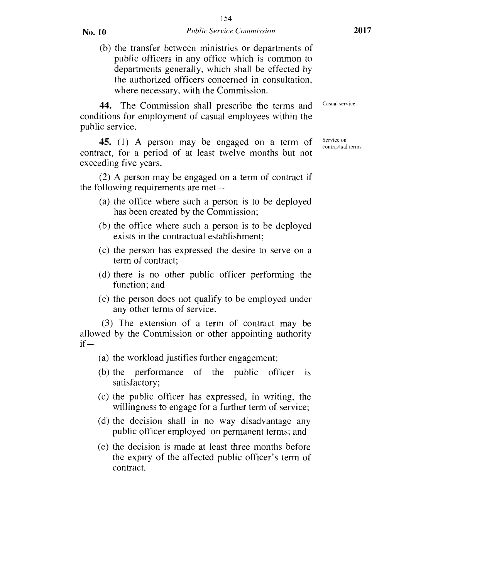(b) the transfer between ministries or departments of public officers in any office which is common to departments generally, which shall be effected by the authorized officers concerned in consultation, where necessary, with the Commission.

44. The Commission shall prescribe the terms and conditions for employment of casual employees within the public service.

45. (1) A person may be engaged on a term of contract, for a period of at least twelve months but not exceeding five years.

(2) A person may be engaged on a term of contract if the following requirements are met—

- (a) the office where such a person is to be deployed has been created by the Commission;
- (b) the office where such a person is to be deployed exists in the contractual establishment;
- (c) the person has expressed the desire to serve on a term of contract;
- (d) there is no other public officer performing the function; and
- (e) the person does not qualify to be employed under any other terms of service.

(3) The extension of a term of contract may be allowed by the Commission or other appointing authority  $if -$ 

- (a) the workload justifies further engagement;
- (b) the performance of the public officer is satisfactory;
- (c) the public officer has expressed, in writing, the willingness to engage for a further term of service;
- (d) the decision shall in no way disadvantage any public officer employed on permanent terms; and
- (e) the decision is made at least three months before the expiry of the affected public officer's term of contract.

Casual service.

Service on contractual terms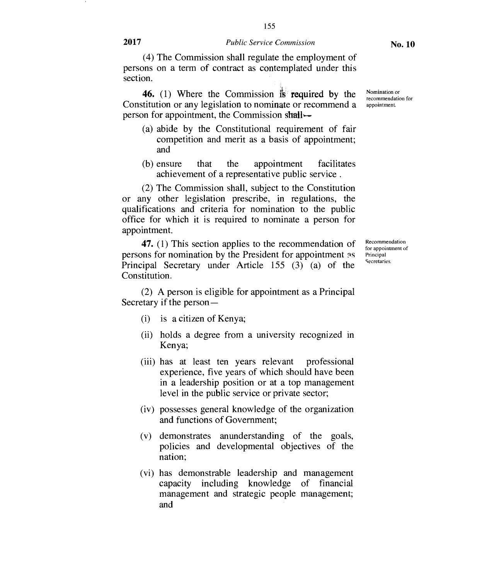155

(4) The Commission shall regulate the employment of persons on a term of contract as contemplated under this section.

**46.** (1) Where the Commission is **required by the**  Constitution or any legislation to nominate or recommend a person for appointment, the Commission **shall,—** 

- (a) abide by the Constitutional requirement of fair competition and merit as a basis of appointment; and
- (b) ensure that the appointment facilitates achievement of a representative public service .

(2) The Commission shall, subject to the Constitution or any other legislation prescribe, in regulations, the qualifications and criteria for nomination to the public office for which it is required to nominate a person for appointment.

**47.** (1) This section applies to the recommendation of persons for nomination by the President for appointment as Principal Secretary under Article 155 **(3)** (a) of the Constitution.

Principal **Secretaries** 

Recommendation for appointment of

(2) A person is eligible for appointment as a Principal Secretary if the person-

- (i) is a citizen of Kenya;
- (ii) holds a degree from a university recognized in Kenya;
- (iii) has at least ten years relevant professional experience, five years of which should have been in a leadership position or at a top management level in the public service or private sector;
- (iv) possesses general knowledge of the organization and functions of Government;
- (v) demonstrates anunderstanding of the goals, policies and developmental objectives of the nation;
- (vi) has demonstrable leadership and management capacity including knowledge of financial management and strategic people management; and

Nomination or recommendation for appointment.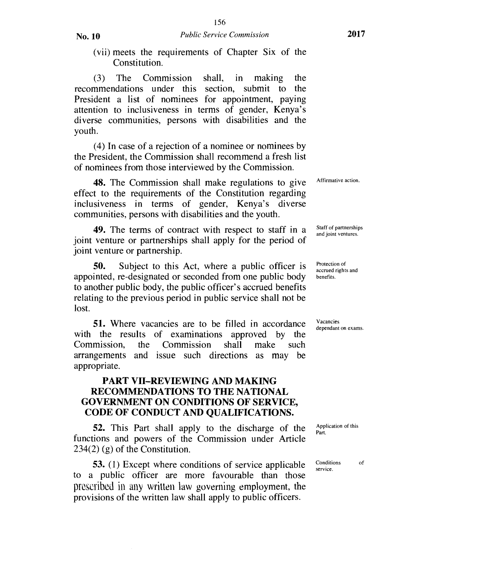(vii) meets the requirements of Chapter Six of the Constitution.

(3) The Commission shall, in making the recommendations under this section, submit to the President a list of nominees for appointment, paying attention to inclusiveness in terms of gender, Kenya's diverse communities, persons with disabilities and the youth.

(4) In case of a rejection of a nominee or nominees by the President, the Commission shall recommend a fresh list of nominees from those interviewed by the Commission.

48. The Commission shall make regulations to give effect to the requirements of the Constitution regarding inclusiveness in terms of gender, Kenya's diverse communities, persons with disabilities and the youth.

49. The terms of contract with respect to staff in a joint venture or partnerships shall apply for the period of joint venture or partnership.

50. Subject to this Act, where a public officer is appointed, re-designated or seconded from one public body to another public body, the public officer's accrued benefits relating to the previous period in public service shall not be lost.

51. Where vacancies are to be filled in accordance with the results of examinations approved by the Commission, the Commission shall make such arrangements and issue such directions as may be appropriate.

#### **PART VII—REVIEWING AND MAKING RECOMMENDATIONS TO THE NATIONAL GOVERNMENT ON CONDITIONS OF SERVICE, CODE OF CONDUCT AND QUALIFICATIONS.**

52. This Part shall apply to the discharge of the functions and powers of the Commission under Article 234(2) (g) of the Constitution.

53. (1) Except where conditions of service applicable to a public officer are more favourable than those prescribed in any written law governing employment, the provisions of the written law shall apply to public officers.

Affirmative action.

Staff of partnerships and joint ventures.

Protection of accrued rights and benefits.

Vacancies dependant on exams.

Application of this Part.

Conditions of service.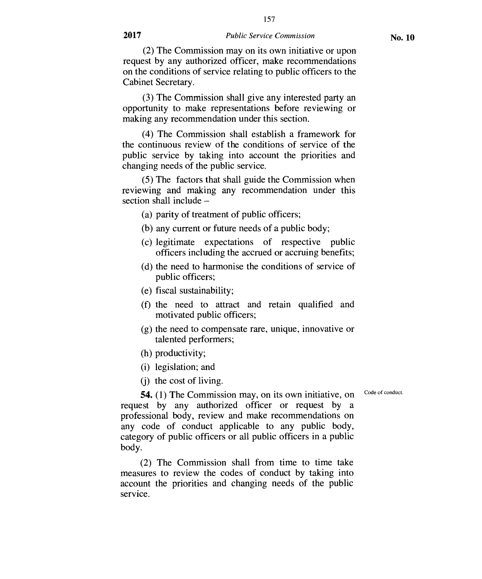(2) The Commission may on its own initiative or upon request by any authorized officer, make recommendations on the conditions of service relating to public officers to the Cabinet Secretary.

(3) The Commission shall give any interested party an opportunity to make representations before reviewing or making any recommendation under this section.

(4) The Commission shall establish a framework for the continuous review of the conditions of service of the public service by taking into account the priorities and changing needs of the public service.

(5) The factors that shall guide the Commission when reviewing and making any recommendation under this section shall include —

- (a) parity of treatment of public officers;
- (b) any current or future needs of a public body;
- (c) legitimate expectations of respective public officers including the accrued or accruing benefits;
- (d) the need to harmonise the conditions of service of public officers;
- (e) fiscal sustainability;
- (f) the need to attract and retain qualified and motivated public officers;
- (g) the need to compensate rare, unique, innovative or talented performers;
- (h) productivity;
- (i) legislation; and
- (j) the cost of living.

Code of conduct.

**54.** (1) The Commission may, on its own initiative, on request by any authorized officer or request by a professional body, review and make recommendations on any code of conduct applicable to any public body, category of public officers or all public officers in a public body.

(2) The Commission shall from time to time take measures to review the codes of conduct by taking into account the priorities and changing needs of the public service.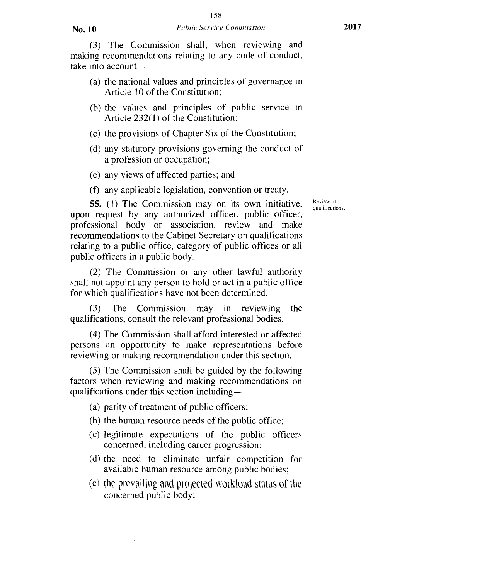(3) The Commission shall, when reviewing and making recommendations relating to any code of conduct, take into account —

- (a) the national values and principles of governance in Article 10 of the Constitution;
- (b) the values and principles of public service in Article 232(1) of the Constitution;
- (c) the provisions of Chapter Six of the Constitution;
- (d) any statutory provisions governing the conduct of a profession or occupation;
- (e) any views of affected parties; and
- (f) any applicable legislation, convention or treaty.

**55.** (1) The Commission may on its own initiative, upon request by any authorized officer, public officer, professional body or association, review and make recommendations to the Cabinet Secretary on qualifications relating to a public office, category of public offices or all public officers in a public body.

(2) The Commission or any other lawful authority shall not appoint any person to hold or act in a public office for which qualifications have not been determined.

(3) The Commission may in reviewing the qualifications, consult the relevant professional bodies.

(4) The Commission shall afford interested or affected persons an opportunity to make representations before reviewing or making recommendation under this section.

(5) The Commission shall be guided by the following factors when reviewing and making recommendations on qualifications under this section including—

(a) parity of treatment of public officers;

- (b) the human resource needs of the public office;
- (c) legitimate expectations of the public officers concerned, including career progression;
- (d) the need to eliminate unfair competition for available human resource among public bodies;
- (el the prevailing and projected workload status of the concerned public body;

Review of qualifications.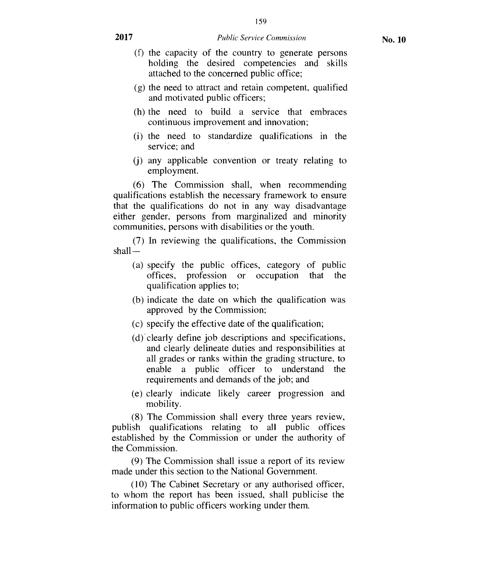- (f) the capacity of the country to generate persons holding the desired competencies and skills attached to the concerned public office;
- (g) the need to attract and retain competent, qualified and motivated public officers;
- (h) the need to build a service that embraces continuous improvement and innovation;
- (i) the need to standardize qualifications in the service; and
- (j) any applicable convention or treaty relating to employment.

(6) The Commission shall, when recommending qualifications establish the necessary framework to ensure that the qualifications do not in any way disadvantage either gender, persons from marginalized and minority communities, persons with disabilities or the youth.

(7) In reviewing the qualifications, the Commission shall —

- (a) specify the public offices, category of public offices, profession or occupation that the qualification applies to;
- (b) indicate the date on which the qualification was approved by the Commission;
- (c) specify the effective date of the qualification;
- (d) clearly define job descriptions and specifications, and clearly delineate duties and responsibilities at all grades or ranks within the grading structure, to enable a public officer to understand the requirements and demands of the job; and
- (e) clearly indicate likely career progression and mobility.

(8) The Commission shall every three years review, publish qualifications relating to all public offices established by the Commission or under the authority of the Commission.

(9) The Commission shall issue a report of its review made under this section to the National Government.

(10) The Cabinet Secretary or any authorised officer, to whom the report has been issued, shall publicise the information to public officers working under them.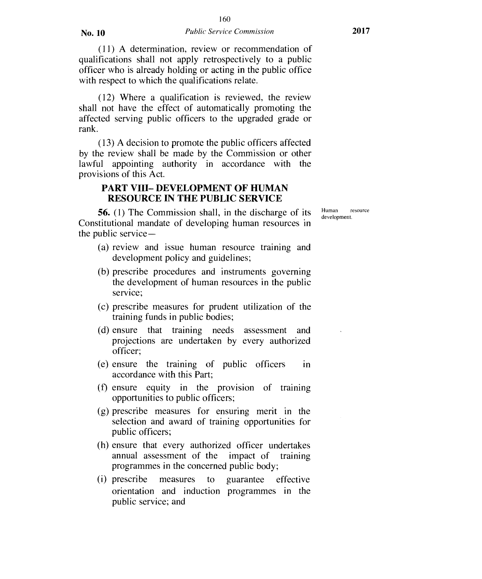(11) A determination, review or recommendation of qualifications shall not apply retrospectively to a public officer who is already holding or acting in the public office with respect to which the qualifications relate.

(12) Where a qualification is reviewed, the review shall not have the effect of automatically promoting the affected serving public officers to the upgraded grade or rank.

(13) A decision to promote the public officers affected by the review shall be made by the Commission or other lawful appointing authority in accordance with the provisions of this Act.

#### **PART VIII— DEVELOPMENT OF HUMAN RESOURCE IN THE PUBLIC SERVICE**

**56.** (1) The Commission shall, in the discharge of its Constitutional mandate of developing human resources in the public service —

- (a) review and issue human resource training and development policy and guidelines;
- (b) prescribe procedures and instruments governing the development of human resources in the public service;
- (c) prescribe measures for prudent utilization of the training funds in public bodies;
- (d) ensure that training needs assessment and projections are undertaken by every authorized officer;
- (e) ensure the training of public officers in accordance with this Part;
- (f) ensure equity in the provision of training opportunities to public officers;
- (g) prescribe measures for ensuring merit in the selection and award of training opportunities for public officers;
- (h) ensure that every authorized officer undertakes annual assessment of the impact of training programmes in the concerned public body;
- (i) prescribe measures to guarantee effective orientation and induction programmes in the public service; and

Human resource development.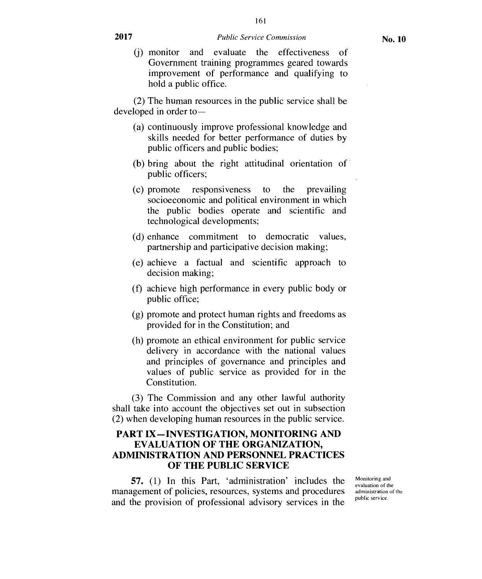(j) monitor and evaluate the effectiveness of Government training programmes geared towards improvement of performance and qualifying to hold a public office.

(2) The human resources in the public service shall be developed in order to —

- (a) continuously improve professional knowledge and skills needed for better performance of duties by public officers and public bodies;
- (b) bring about the right attitudinal orientation of public officers;
- (c) promote responsiveness to the prevailing socioeconomic and political environment in which the public bodies operate and scientific and technological developments;
- (d) enhance commitment to democratic values, partnership and participative decision making;
- (e) achieve a factual and scientific approach to decision making;
- (f) achieve high performance in every public body or public office;
- (g) promote and protect human rights and freedoms as provided for in the Constitution; and
- (h) promote an ethical environment for public service delivery in accordance with the national values and principles of governance and principles and values of public service as provided for in the Constitution.

(3) The Commission and any other lawful authority shall take into account the objectives set out in subsection (2) when developing human resources in the public service.

#### **PART IX—INVESTIGATION, MONITORING AND EVALUATION OF THE ORGANIZATION, ADMINISTRATION AND PERSONNEL PRACTICES OF THE PUBLIC SERVICE**

**57.** (1) In this Part, 'administration' includes the management of policies, resources, systems and procedures and the provision of professional advisory services in the

Monitoring and evaluation of the administration of the public service.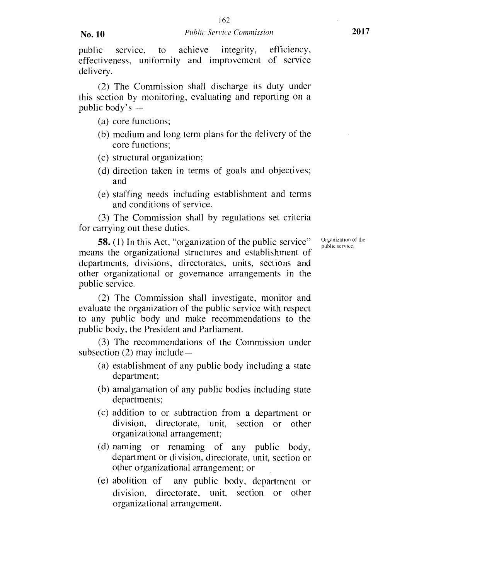public service, to achieve integrity, efficiency, effectiveness, uniformity and improvement of service delivery.

(2) The Commission shall discharge its duty under this section by monitoring, evaluating and reporting on a public body's —

- (a) core functions;
- (b) medium and long term plans for the delivery of the core functions;
- (c) structural organization;
- (d) direction taken in terms of goals and objectives; and
- (e) staffing needs including establishment and terms and conditions of service.

(3) The Commission shall by regulations set criteria for carrying out these duties.

58. (1) In this Act, "organization of the public service" means the organizational structures and establishment of departments, divisions, directorates, units, sections and other organizational or governance arrangements in the public service.

(2) The Commission shall investigate, monitor and evaluate the organization of the public service with respect to any public body and make recommendations to the public body, the President and Parliament.

(3) The recommendations of the Commission under subsection (2) may include—

- (a) establishment of any public body including a state department;
- (b) amalgamation of any public bodies including state departments;
- (c) addition to or subtraction from a department or division, directorate, unit, section or other organizational arrangement;
- (d) naming or renaming of any public body, department or division, directorate, unit, section or other organizational arrangement; or
- (e) abolition of any public body, department or division, directorate, unit, section or other organizational arrangement.

Organization of the public service.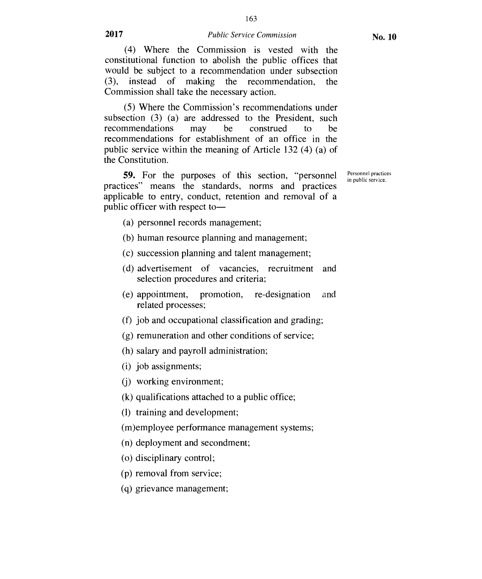(4) Where the Commission is vested with the constitutional function to abolish the public offices that would be subject to a recommendation under subsection (3), instead of making the recommendation, the Commission shall take the necessary action.

(5) Where the Commission's recommendations under subsection (3) (a) are addressed to the President, such recommendations may be construed to be recommendations for establishment of an office in the public service within the meaning of Article 132 (4) (a) of the Constitution.

**59.** For the purposes of this section, "personnel practices" means the standards, norms and practices applicable to entry, conduct, retention and removal of a public officer with respect toPersonnel practices in public service.

- (a) personnel records management;
- (b) human resource planning and management;
- (c) succession planning and talent management;
- (d) advertisement of vacancies, recruitment and selection procedures and criteria;
- (e) appointment, promotion, re-designation and related processes;
- $(f)$  job and occupational classification and grading;
- (g) remuneration and other conditions of service;
- (h) salary and payroll administration;
- (i) job assignments;
- (j) working environment;
- (k) qualifications attached to a public office;
- (1) training and development;
- (m)employee performance management systems;
- (n) deployment and secondment;
- (o) disciplinary control;
- (p) removal from service;
- (q) grievance management;

163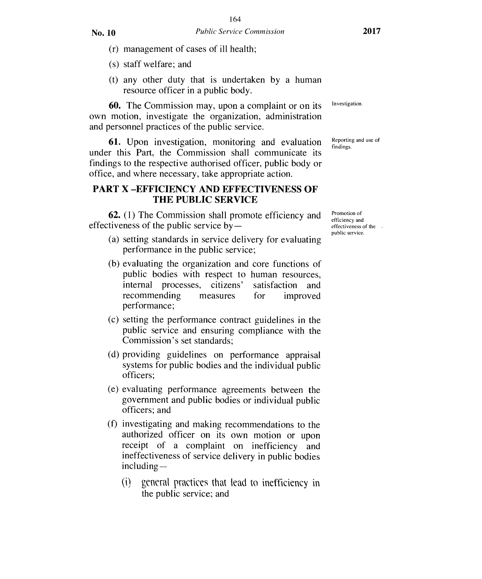- (r) management of cases of ill health;
- (s) staff welfare; and
- (t) any other duty that is undertaken by a human resource officer in a public body.

60. The Commission may, upon a complaint or on its own motion, investigate the organization, administration and personnel practices of the public service.

61. Upon investigation, monitoring and evaluation under this Part, the Commission shall communicate its findings to the respective authorised officer, public body or office, and where necessary, take appropriate action.

# **PART X —EFFICIENCY AND EFFECTIVENESS OF THE PUBLIC SERVICE**

62. (1) The Commission shall promote efficiency and effectiveness of the public service by —

- (a) setting standards in service delivery for evaluating performance in the public service;
- (b) evaluating the organization and core functions of public bodies with respect to human resources, internal processes, citizens' satisfaction and recommending measures for improved performance;
- (c) setting the performance contract guidelines in the public service and ensuring compliance with the Commission's set standards;
- (d) providing guidelines on performance appraisal systems for public bodies and the individual public officers;
- (e) evaluating performance agreements between the government and public bodies or individual public officers; and
- (f) investigating and making recommendations to the authorized officer on its own motion or upon receipt of a complaint on inefficiency and ineffectiveness of service delivery in public bodies including —
	- (i) general practices that lead to inefficiency in the public service; and

Investigation.

Reporting and use of findings.

Promotion of efficiency and effectiveness of the public service.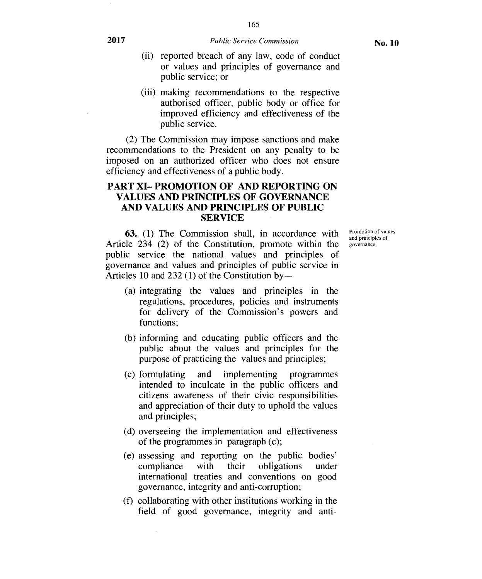165

- (ii) reported breach of any law, code of conduct or values and principles of governance and public service; or
- (iii) making recommendations to the respective authorised officer, public body or office for improved efficiency and effectiveness of the public service.

(2) The Commission may impose sanctions and make recommendations to the President on any penalty to be imposed on an authorized officer who does not ensure efficiency and effectiveness of a public body.

#### **PART XI— PROMOTION OF AND REPORTING ON VALUES AND PRINCIPLES OF GOVERNANCE AND VALUES AND PRINCIPLES OF PUBLIC SERVICE**

**63.** (1) The Commission shall, in accordance with Article 234 (2) of the Constitution, promote within the public service the national values and principles of governance and values and principles of public service in Articles 10 and 232 (1) of the Constitution by —

- (a) integrating the values and principles in the regulations, procedures, policies and instruments for delivery of the Commission's powers and functions;
- (b) informing and educating public officers and the public about the values and principles for the purpose of practicing the values and principles;
- (c) formulating and implementing programmes intended to inculcate in the public officers and citizens awareness of their civic responsibilities and appreciation of their duty to uphold the values and principles;
- (d) overseeing the implementation and effectiveness of the programmes in paragraph (c);
- (e) assessing and reporting on the public bodies' compliance with their obligations under international treaties and conventions on good governance, integrity and anti-corruption;
- (f) collaborating with other institutions working in the field of good governance, integrity and anti-

Promotion of values and principles of governance.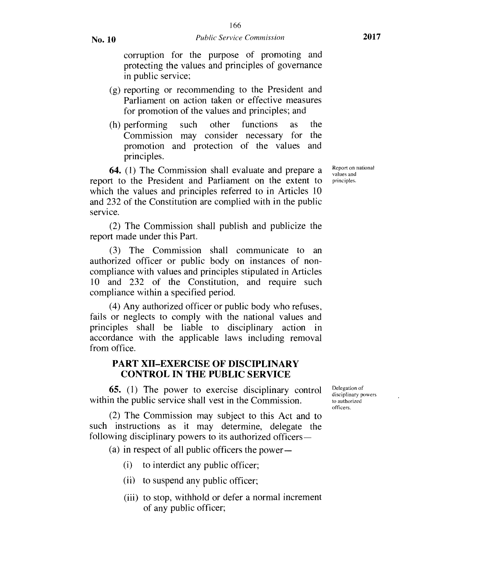corruption for the purpose of promoting and protecting the values and principles of governance in public service;

- (g) reporting or recommending to the President and Parliament on action taken or effective measures for promotion of the values and principles; and
- (h) performing such other functions as the Commission may consider necessary for the promotion and protection of the values and principles.

**64.** (1) The Commission shall evaluate and prepare a report to the President and Parliament on the extent to which the values and principles referred to in Articles 10 and 232 of the Constitution are complied with in the public service.

(2) The Commission shall publish and publicize the report made under this Part.

(3) The Commission shall communicate to an authorized officer or public body on instances of noncompliance with values and principles stipulated in Articles 10 and 232 of the Constitution, and require such compliance within a specified period.

(4) Any authorized officer or public body who refuses, fails or neglects to comply with the national values and principles shall be liable to disciplinary action in accordance with the applicable laws including removal from office.

#### **PART XII–EXERCISE OF DISCIPLINARY CONTROL IN THE PUBLIC SERVICE**

**65.** (1) The power to exercise disciplinary control within the public service shall vest in the Commission.

(2) The Commission may subject to this Act and to such instructions as it may determine, delegate the following disciplinary powers to its authorized officers—

(a) in respect of all public officers the power-

- (i) to interdict any public officer;
- (ii) to suspend any public officer;
- (iii) to stop, withhold or defer a normal increment of any public officer;

Delegation of disciplinary powers to authorized officers.

Report on national values and principles.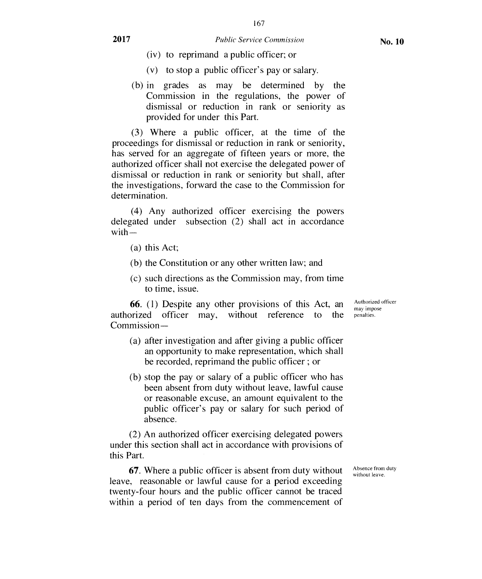167

- (iv) to reprimand a public officer; or
- (v) to stop a public officer's pay or salary.
- (b) in grades as may be determined by the Commission in the regulations, the power of dismissal or reduction in rank or seniority as provided for under this Part.

(3) Where a public officer, at the time of the proceedings for dismissal or reduction in rank or seniority, has served for an aggregate of fifteen years or more, the authorized officer shall not exercise the delegated power of dismissal or reduction in rank or seniority but shall, after the investigations, forward the case to the Commission for determination.

(4) Any authorized officer exercising the powers delegated under subsection (2) shall act in accordance with—

- (a) this Act;
- (b) the Constitution or any other written law; and
- (c) such directions as the Commission may, from time to time, issue.

**66.** (1) Despite any other provisions of this Act, an authorized officer may, without reference to the Commission —

- (a) after investigation and after giving a public officer an opportunity to make representation, which shall be recorded, reprimand the public officer ; or
- (b) stop the pay or salary of a public officer who has been absent from duty without leave, lawful cause or reasonable excuse, an amount equivalent to the public officer's pay or salary for such period of absence.

(2) An authorized officer exercising delegated powers under this section shall act in accordance with provisions of this Part.

**67.** Where a public officer is absent from duty without leave, reasonable or lawful cause for a period exceeding twenty-four hours and the public officer cannot be traced within a period of ten days from the commencement of Absence from duty without leave.

Authorized officer may impose penalties.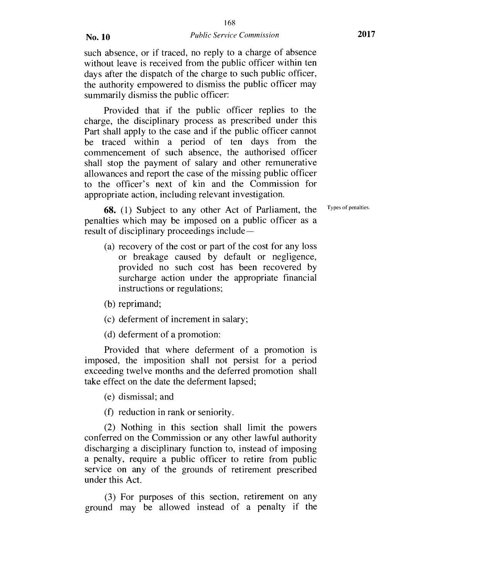such absence, or if traced, no reply to a charge of absence without leave is received from the public officer within ten days after the dispatch of the charge to such public officer, the authority empowered to dismiss the public officer may summarily dismiss the public officer:

Provided that if the public officer replies to the charge, the disciplinary process as prescribed under this Part shall apply to the case and if the public officer cannot be traced within a period of ten days from the commencement of such absence, the authorised officer shall stop the payment of salary and other remunerative allowances and report the case of the missing public officer to the officer's next of kin and the Commission for appropriate action, including relevant investigation.

**68.** (1) Subject to any other Act of Parliament, the penalties which may be imposed on a public officer as a result of disciplinary proceedings include—

(a) recovery of the cost or part of the cost for any loss or breakage caused by default or negligence, provided no such cost has been recovered by surcharge action under the appropriate financial instructions or regulations;

(b) reprimand;

(c) deferment of increment in salary;

(d) deferment of a promotion:

Provided that where deferment of a promotion is imposed, the imposition shall not persist for a period exceeding twelve months and the deferred promotion shall take effect on the date the deferment lapsed;

(e) dismissal; and

(f) reduction in rank or seniority.

(2) Nothing in this section shall limit the powers conferred on the Commission or any other lawful authority discharging a disciplinary function to, instead of imposing a penalty, require a public officer to retire from public service on any of the grounds of retirement prescribed under this Act.

(3) For purposes of this section, retirement on any ground may be allowed instead of a penalty if the Types of penalties.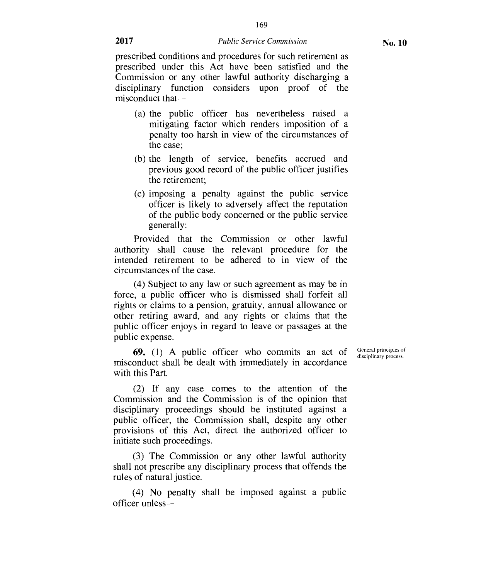169

prescribed conditions and procedures for such retirement as prescribed under this Act have been satisfied and the Commission or any other lawful authority discharging a disciplinary function considers upon proof of the misconduct that —

- (a) the public officer has nevertheless raised a mitigating factor which renders imposition of a penalty too harsh in view of the circumstances of the case;
- (b) the length of service, benefits accrued and previous good record of the public officer justifies the retirement;
- (c) imposing a penalty against the public service officer is likely to adversely affect the reputation of the public body concerned or the public service generally:

Provided that the Commission or other lawful authority shall cause the relevant procedure for the intended retirement to be adhered to in view of the circumstances of the case.

(4) Subject to any law or such agreement as may be in force, a public officer who is dismissed shall forfeit all rights or claims to a pension, gratuity, annual allowance or other retiring award, and any rights or claims that the public officer enjoys in regard to leave or passages at the public expense.

**69.** (1) A public officer who commits an act of misconduct shall be dealt with immediately in accordance with this Part.

General principles of disciplinary process.

(2) If any case comes to the attention of the Commission and the Commission is of the opinion that disciplinary proceedings should be instituted against a public officer, the Commission shall, despite any other provisions of this Act, direct the authorized officer to initiate such proceedings.

(3) The Commission or any other lawful authority shall not prescribe any disciplinary process that offends the rules of natural justice.

(4) No penalty shall be imposed against a public officer unless—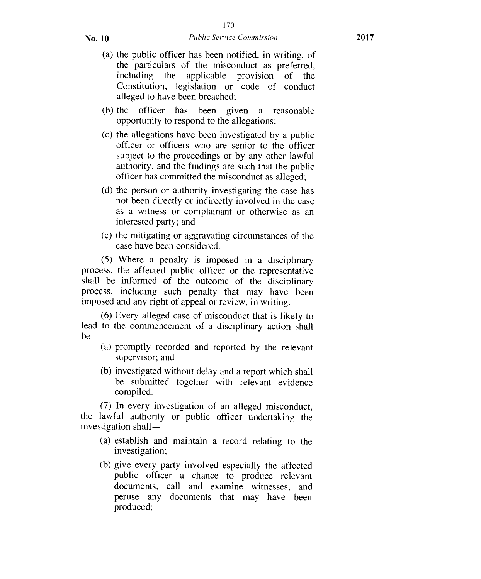- (a) the public officer has been notified, in writing, of the particulars of the misconduct as preferred, including the applicable provision of the Constitution, legislation or code of conduct alleged to have been breached;
- (b) the officer has been given a reasonable opportunity to respond to the allegations;
- (c) the allegations have been investigated by a public officer or officers who are senior to the officer subject to the proceedings or by any other lawful authority, and the findings are such that the public officer has committed the misconduct as alleged;
- (d) the person or authority investigating the case has not been directly or indirectly involved in the case as a witness or complainant or otherwise as an interested party; and
- (e) the mitigating or aggravating circumstances of the case have been considered.

(5) Where a penalty is imposed in a disciplinary process, the affected public officer or the representative shall be informed of the outcome of the disciplinary process, including such penalty that may have been imposed and any right of appeal or review, in writing.

(6) Every alleged case of misconduct that is likely to lead to the commencement of a disciplinary action shall be—

- (a) promptly recorded and reported by the relevant supervisor; and
- (b) investigated without delay and a report which shall be submitted together with relevant evidence compiled.

(7) In every investigation of an alleged misconduct, the lawful authority or public officer undertaking the investigation shall —

- (a) establish and maintain a record relating to the investigation;
- (b) give every party involved especially the affected public officer a chance to produce relevant documents, call and examine witnesses, and peruse any documents that may have been produced;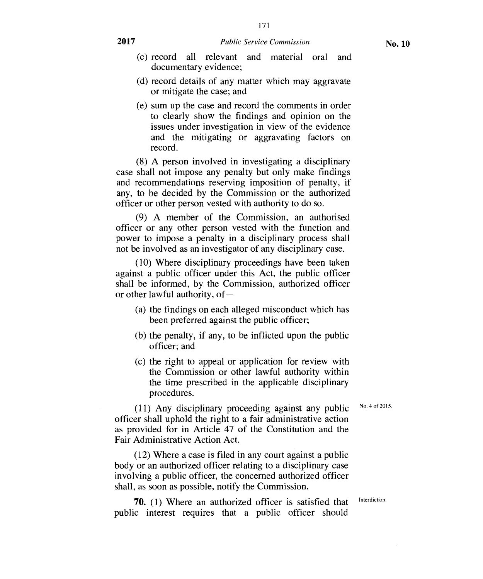- (c) record all relevant and material oral and documentary evidence;
- (d) record details of any matter which may aggravate or mitigate the case; and
- (e) sum up the case and record the comments in order to clearly show the findings and opinion on the issues under investigation in view of the evidence and the mitigating or aggravating factors on record.

(8) A person involved in investigating a disciplinary case shall not impose any penalty but only make findings and recommendations reserving imposition of penalty, if any, to be decided by the Commission or the authorized officer or other person vested with authority to do so.

(9) A member of the Commission, an authorised officer or any other person vested with the function and power to impose a penalty in a disciplinary process shall not be involved as an investigator of any disciplinary case.

(10) Where disciplinary proceedings have been taken against a public officer under this Act, the public officer shall be informed, by the Commission, authorized officer or other lawful authority, of —

- (a) the findings on each alleged misconduct which has been preferred against the public officer;
- (b) the penalty, if any, to be inflicted upon the public officer; and
- (c) the right to appeal or application for review with the Commission or other lawful authority within the time prescribed in the applicable disciplinary procedures.

(11) Any disciplinary proceeding against any public  $N_0$ . 4 of 2015. officer shall uphold the right to a fair administrative action as provided for in Article 47 of the Constitution and the Fair Administrative Action Act.

(12) Where a case is filed in any court against a public body or an authorized officer relating to a disciplinary case involving a public officer, the concerned authorized officer shall, as soon as possible, notify the Commission.

**70.** (1) Where an authorized officer is satisfied that Interdiction. public interest requires that a public officer should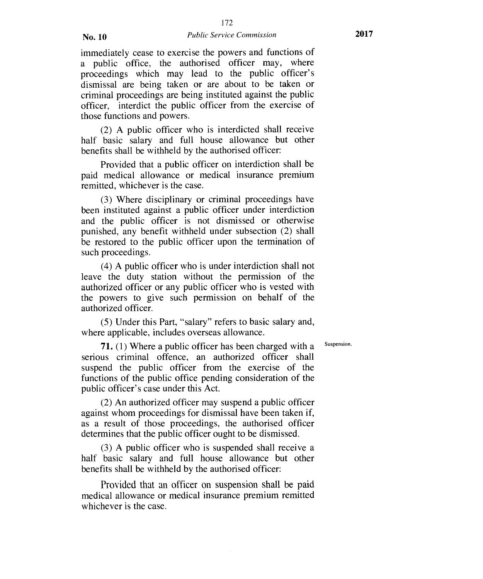immediately cease to exercise the powers and functions of a public office, the authorised officer may, where proceedings which may lead to the public officer's dismissal are being taken or are about to be taken or criminal proceedings are being instituted against the public officer, interdict the public officer from the exercise of those functions and powers.

(2) A public officer who is interdicted shall receive half basic salary and full house allowance but other benefits shall be withheld by the authorised officer:

Provided that a public officer on interdiction shall be paid medical allowance or medical insurance premium remitted, whichever is the case.

(3) Where disciplinary or criminal proceedings have been instituted against a public officer under interdiction and the public officer is not dismissed or otherwise punished, any benefit withheld under subsection (2) shall be restored to the public officer upon the termination of such proceedings.

(4) A public officer who is under interdiction shall not leave the duty station without the permission of the authorized officer or any public officer who is vested with the powers to give such permission on behalf of the authorized officer.

(5) Under this Part, "salary" refers to basic salary and, where applicable, includes overseas allowance.

Suspension.

**71.** (1) Where a public officer has been charged with a serious criminal offence, an authorized officer shall suspend the public officer from the exercise of the functions of the public office pending consideration of the public officer's case under this Act.

(2) An authorized officer may suspend a public officer against whom proceedings for dismissal have been taken if, as a result of those proceedings, the authorised officer determines that the public officer ought to be dismissed.

(3) A public officer who is suspended shall receive a half basic salary and full house allowance but other benefits shall be withheld by the authorised officer:

Provided that an officer on suspension shall be paid medical allowance or medical insurance premium remitted whichever is the case.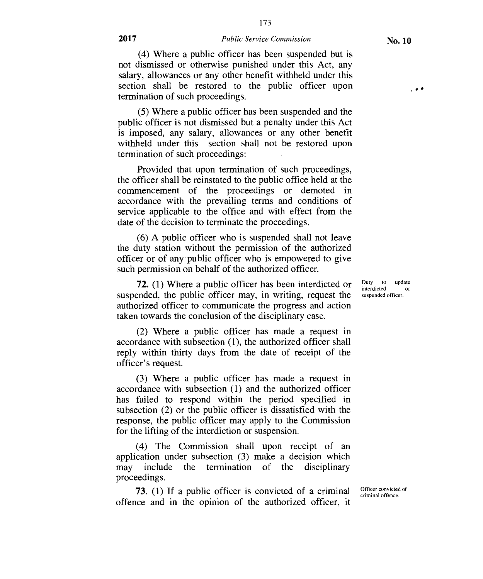173

(4) Where a public officer has been suspended but is not dismissed or otherwise punished under this Act, any salary, allowances or any other benefit withheld under this section shall be restored to the public officer upon termination of such proceedings.

(5) Where a public officer has been suspended and the public officer is not dismissed but a penalty under this Act is imposed, any salary, allowances or any other benefit withheld under this section shall not be restored upon termination of such proceedings:

Provided that upon termination of such proceedings, the officer shall be reinstated to the public office held at the commencement of the proceedings or demoted in accordance with the prevailing terms and conditions of service applicable to the office and with effect from the date of the decision to terminate the proceedings.

(6) A public officer who is suspended shall not leave the duty station without the permission of the authorized officer or of any public officer who is empowered to give such permission on behalf of the authorized officer.

72. (1) Where a public officer has been interdicted or suspended, the public officer may, in writing, request the authorized officer to communicate the progress and action taken towards the conclusion of the disciplinary case.

(2) Where a public officer has made a request in accordance with subsection (1), the authorized officer shall reply within thirty days from the date of receipt of the officer's request.

(3) Where a public officer has made a request in accordance with subsection (1) and the authorized officer has failed to respond within the period specified in subsection (2) or the public officer is dissatisfied with the response, the public officer may apply to the Commission for the lifting of the interdiction or suspension.

(4) The Commission shall upon receipt of an application under subsection (3) make a decision which may include the termination of the disciplinary proceedings.

73. (1) If a public officer is convicted of a criminal offence and in the opinion of the authorized officer, it suspended officer.

Duty to update interdicted or

Officer convicted of criminal offence.

 $,$   $,$   $\ast$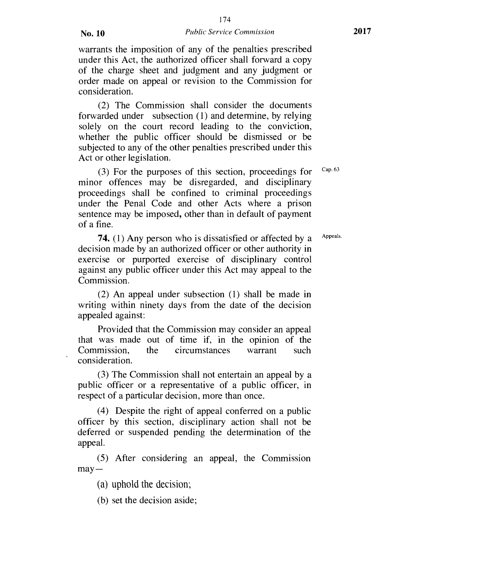warrants the imposition of any of the penalties prescribed under this Act, the authorized officer shall forward a copy of the charge sheet and judgment and any judgment or order made on appeal or revision to the Commission for consideration.

(2) The Commission shall consider the documents forwarded under subsection (1) and determine, by relying solely on the court record leading to the conviction, whether the public officer should be dismissed or be subjected to any of the other penalties prescribed under this Act or other legislation.

(3) For the purposes of this section, proceedings for  $Cap. 63$ minor offences may be disregarded, and disciplinary proceedings shall be confined to criminal proceedings under the Penal Code and other Acts where a prison sentence may be imposed, other than in default of payment of a fine.

**74.** (1) Any person who is dissatisfied or affected by a <sup>Appeals.</sup> decision made by an authorized officer or other authority in exercise or purported exercise of disciplinary control against any public officer under this Act may appeal to the Commission.

(2) An appeal under subsection (1) shall be made in writing within ninety days from the date of the decision appealed against:

Provided that the Commission may consider an appeal that was made out of time if, in the opinion of the circumstances consideration.

(3) The Commission shall not entertain an appeal by a public officer or a representative of a public officer, in respect of a particular decision, more than once.

(4) Despite the right of appeal conferred on a public officer by this section, disciplinary action shall not be deferred or suspended pending the determination of the appeal.

(5) After considering an appeal, the Commission  $may -$ 

(a) uphold the decision;

(b) set the decision aside;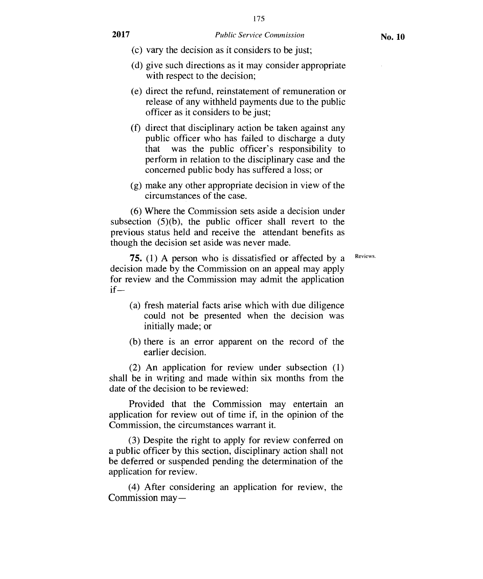175

- (c) vary the decision as it considers to be just;
- (d) give such directions as it may consider appropriate with respect to the decision;
- (e) direct the refund, reinstatement of remuneration or release of any withheld payments due to the public officer as it considers to be just;
- (f) direct that disciplinary action be taken against any public officer who has failed to discharge a duty that was the public officer's responsibility to perform in relation to the disciplinary case and the concerned public body has suffered a loss; or
- (g) make any other appropriate decision in view of the circumstances of the case.

(6) Where the Commission sets aside a decision under subsection  $(5)(b)$ , the public officer shall revert to the previous status held and receive the attendant benefits as though the decision set aside was never made.

Reviews.

75. (1) A person who is dissatisfied or affected by a decision made by the Commission on an appeal may apply for review and the Commission may admit the application if—

- (a) fresh material facts arise which with due diligence could not be presented when the decision was initially made; or
- (b) there is an error apparent on the record of the earlier decision.

(2) An application for review under subsection (1) shall be in writing and made within six months from the date of the decision to be reviewed:

Provided that the Commission may entertain an application for review out of time if, in the opinion of the Commission, the circumstances warrant it.

(3) Despite the right to apply for review conferred on a public officer by this section, disciplinary action shall not be deferred or suspended pending the determination of the application for review.

(4) After considering an application for review, the Commission may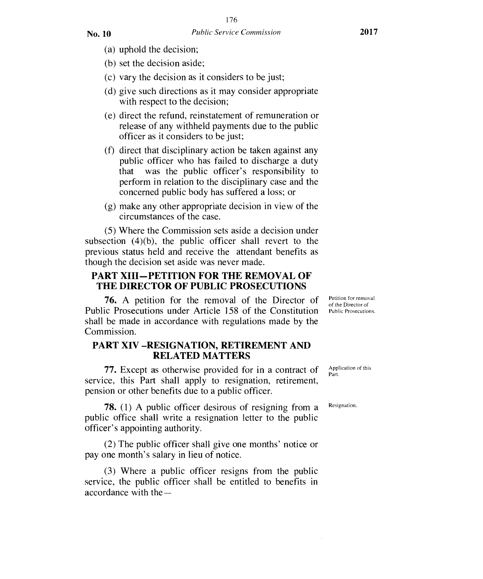(a) uphold the decision;

(b) set the decision aside;

- (c) vary the decision as it considers to be just;
- (d) give such directions as it may consider appropriate with respect to the decision;
- (e) direct the refund, reinstatement of remuneration or release of any withheld payments due to the public officer as it considers to be just;
- (f) direct that disciplinary action be taken against any public officer who has failed to discharge a duty that was the public officer's responsibility to perform in relation to the disciplinary case and the concerned public body has suffered a loss; or
- (g) make any other appropriate decision in view of the circumstances of the case.

(5) Where the Commission sets aside a decision under subsection (4)(b), the public officer shall revert to the previous status held and receive the attendant benefits as though the decision set aside was never made.

#### **PART XIII—PETITION FOR THE REMOVAL OF THE DIRECTOR OF PUBLIC PROSECUTIONS**

**76.** A petition for the removal of the Director of *Petition for removal* contained in the Director of *Petition public Prosecutions* under Article 158 of the Constitution *Public Prosecutions*. Public Prosecutions under Article 158 of the Constitution shall be made in accordance with regulations made by the Commission.

#### **PART XIV —RESIGNATION, RETIREMENT AND RELATED MATTERS**

77. Except as otherwise provided for in a contract of service, this Part shall apply to resignation, retirement, pension or other benefits due to a public officer.

78. (1) A public officer desirous of resigning from a public office shall write a resignation letter to the public officer's appointing authority.

(2) The public officer shall give one months' notice or pay one month's salary in lieu of notice.

(3) Where a public officer resigns from the public service, the public officer shall be entitled to benefits in accordance with thePetition for removal

Application of this Part.

Resignation.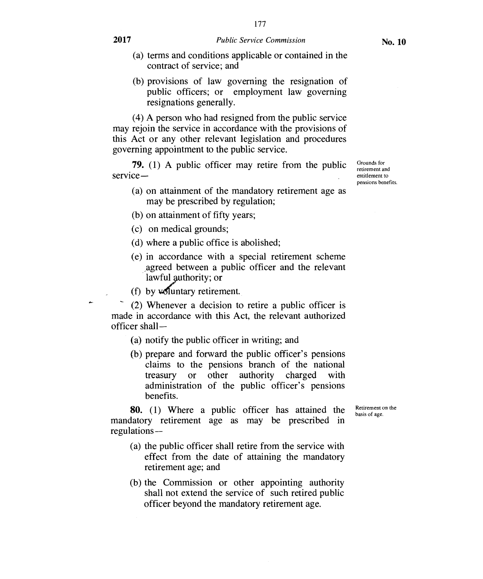- (a) terms and conditions applicable or contained in the contract of service; and
- (b) provisions of law governing the resignation of public officers; or employment law governing resignations generally.

(4) A person who had resigned from the public service may rejoin the service in accordance with the provisions of this Act or any other relevant legislation and procedures governing appointment to the public service.

**79.** (1) A public officer may retire from the public service—

- (a) on attainment of the mandatory retirement age as may be prescribed by regulation;
- (b) on attainment of fifty years;
- (c) on medical grounds;
- (d) where a public office is abolished;
- (e) in accordance with a special retirement scheme agreed between a public officer and the relevant lawful authority; or
- (f) by  $\nu$ sluntary retirement.

(2) Whenever a decision to retire a public officer is made in accordance with this Act, the relevant authorized officer shall —

- (a) notify the public officer in writing; and
- (b) prepare and forward the public officer's pensions claims to the pensions branch of the national treasury or other authority charged with administration of the public officer's pensions benefits.

**80.** (1) Where a public officer has attained the mandatory retirement age as may be prescribed in regulations — Retirement on the basis of age.

- (a) the public officer shall retire from the service with effect from the date of attaining the mandatory retirement age; and
- (b) the Commission or other appointing authority shall not extend the service of such retired public officer beyond the mandatory retirement age.

Grounds for retirement and entitlement to pensions benefits.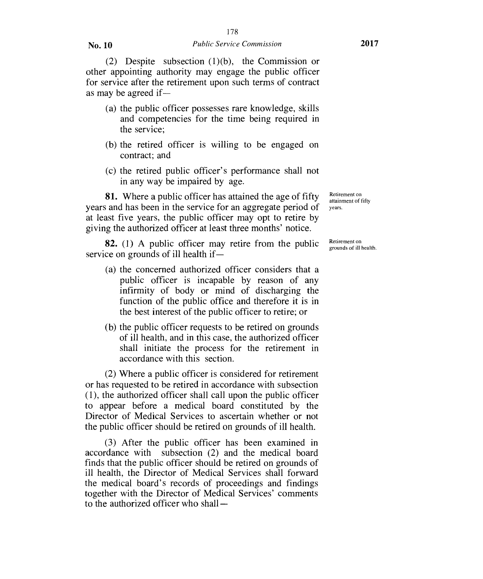**No. 10** *Public Service Commission* **2017** 

(2) Despite subsection (1)(b), the Commission or other appointing authority may engage the public officer for service after the retirement upon such terms of contract as may be agreed if—

- (a) the public officer possesses rare knowledge, skills and competencies for the time being required in the service;
- (b) the retired officer is willing to be engaged on contract; and
- (c) the retired public officer's performance shall not in any way be impaired by age.

81. Where a public officer has attained the age of fifty years and has been in the service for an aggregate period of at least five years, the public officer may opt to retire by giving the authorized officer at least three months' notice.

82. (1) A public officer may retire from the public service on grounds of ill health if—

- (a) the concerned authorized officer considers that a public officer is incapable by reason of any infirmity of body or mind of discharging the function of the public office and therefore it is in the best interest of the public officer to retire; or
- (b) the public officer requests to be retired on grounds of ill health, and in this case, the authorized officer shall initiate the process for the retirement in accordance with this section.

(2) Where a public officer is considered for retirement or has requested to be retired in accordance with subsection (1), the authorized officer shall call upon the public officer to appear before a medical board constituted by the Director of Medical Services to ascertain whether or not the public officer should be retired on grounds of ill health.

(3) After the public officer has been examined in accordance with subsection (2) and the medical board finds that the public officer should be retired on grounds of ill health, the Director of Medical Services shall forward the medical board's records of proceedings and findings together with the Director of Medical Services' comments to the authorized officer who shallRetirement on attainment of fifty years.

Retirement on grounds of ill health.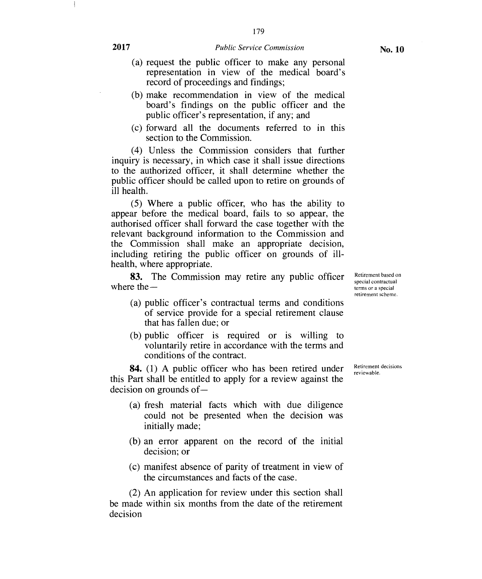179

- (a) request the public officer to make any personal representation in view of the medical board's record of proceedings and findings;
- (b) make recommendation in view of the medical board's findings on the public officer and the public officer's representation, if any; and
- (c) forward all the documents referred to in this section to the Commission.

(4) Unless the Commission considers that further inquiry is necessary, in which case it shall issue directions to the authorized officer, it shall determine whether the public officer should be called upon to retire on grounds of ill health.

(5) Where a public officer, who has the ability to appear before the medical board, fails to so appear, the authorised officer shall forward the case together with the relevant background information to the Commission and the Commission shall make an appropriate decision, including retiring the public officer on grounds of illhealth, where appropriate.

**83.** The Commission may retire any public officer where the  $-$ 

- (a) public officer's contractual terms and conditions of service provide for a special retirement clause that has fallen due; or
- (b) public officer is required or is willing to voluntarily retire in accordance with the terms and conditions of the contract.

**84.** (1) A public officer who has been retired under this Part shall be entitled to apply for a review against the decision on grounds of —

- (a) fresh material facts which with due diligence could not be presented when the decision was initially made;
- (b) an error apparent on the record of the initial decision; or
- (c) manifest absence of parity of treatment in view of the circumstances and facts of the case.

(2) An application for review under this section shall be made within six months from the date of the retirement decision

Retirement decisions reviewable.

Retirement based on special contractual terms or a special retirement scheme.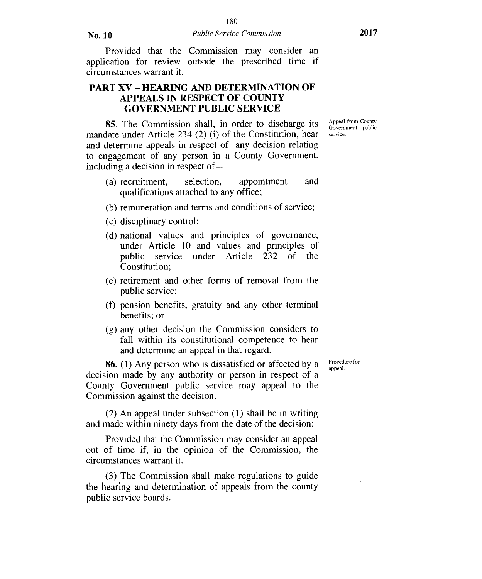Provided that the Commission may consider an application for review outside the prescribed time if circumstances warrant it.

# **PART XV — HEARING AND DETERMINATION OF APPEALS IN RESPECT OF COUNTY GOVERNMENT PUBLIC SERVICE**

**85.** The Commission shall, in order to discharge its mandate under Article 234 (2) (i) of the Constitution, hear and determine appeals in respect of any decision relating to engagement of any person in a County Government, including a decision in respect of —

- (a) recruitment, selection, appointment and qualifications attached to any office;
- (b) remuneration and terms and conditions of service;
- (c) disciplinary control;
- (d) national values and principles of governance, under Article 10 and values and principles of public service under Article 232 of the Constitution;
- (e) retirement and other forms of removal from the public service;
- (f) pension benefits, gratuity and any other terminal benefits; or
- (g) any other decision the Commission considers to fall within its constitutional competence to hear and determine an appeal in that regard.

**86.** (1) Any person who is dissatisfied or affected by a decision made by any authority or person in respect of a County Government public service may appeal to the Commission against the decision.

(2) An appeal under subsection (1) shall be in writing and made within ninety days from the date of the decision:

Provided that the Commission may consider an appeal out of time if, in the opinion of the Commission, the circumstances warrant it.

(3) The Commission shall make regulations to guide the hearing and determination of appeals from the county public service boards.

Procedure for appeal.

Appeal from County Government public service.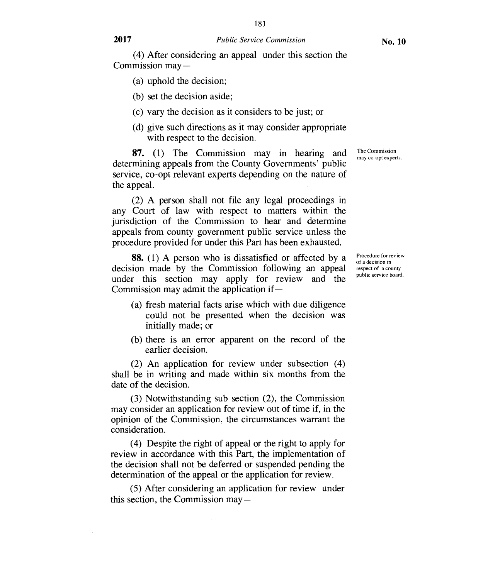181

(a) uphold the decision;

(b) set the decision aside;

(c) vary the decision as it considers to be just; or

(d) give such directions as it may consider appropriate with respect to the decision.

87. (1) The Commission may in hearing and determining appeals from the County Governments' public service, co-opt relevant experts depending on the nature of the appeal.

(2) A person shall not file any legal proceedings in any Court of law with respect to matters within the jurisdiction of the Commission to hear and determine appeals from county government public service unless the procedure provided for under this Part has been exhausted.

88. (1) A person who is dissatisfied or affected by a decision made by the Commission following an appeal under this section may apply for review and the Commission may admit the application if —

- (a) fresh material facts arise which with due diligence could not be presented when the decision was initially made; or
- (b) there is an error apparent on the record of the earlier decision.

(2) An application for review under subsection (4) shall be in writing and made within six months from the date of the decision.

(3) Notwithstanding sub section (2), the Commission may consider an application for review out of time if, in the opinion of the Commission, the circumstances warrant the consideration.

(4) Despite the right of appeal or the right to apply for review in accordance with this Part, the implementation of the decision shall not be deferred or suspended pending the determination of the appeal or the application for review.

(5) After considering an application for review under this section, the Commission may —

Procedure for review of a decision in respect of a county public service board.

The Commission may co-opt experts.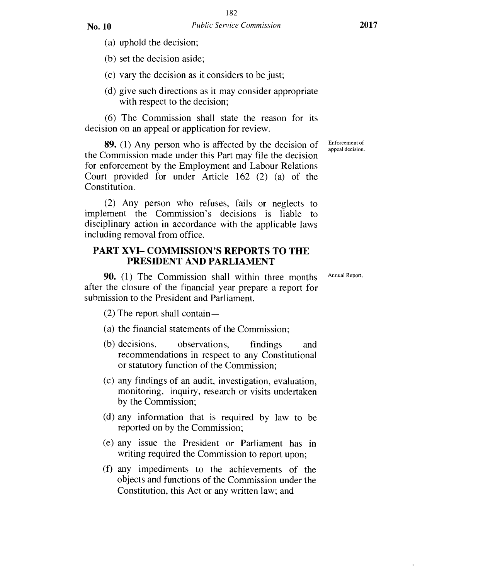(a) uphold the decision;

(b) set the decision aside;

(c) vary the decision as it considers to be just;

(d) give such directions as it may consider appropriate with respect to the decision;

(6) The Commission shall state the reason for its decision on an appeal or application for review.

89. (1) Any person who is affected by the decision of the Commission made under this Part may file the decision for enforcement by the Employment and Labour Relations Court provided for under Article 162 (2) (a) of the Constitution.

(2) Any person who refuses, fails or neglects to implement the Commission's decisions is liable to disciplinary action in accordance with the applicable laws including removal from office.

#### **PART XVI— COMMISSION'S REPORTS TO THE PRESIDENT AND PARLIAMENT**

90. (1) The Commission shall within three months after the closure of the financial year prepare a report for submission to the President and Parliament.

(2) The report shall contain —

- (a) the financial statements of the Commission;
- (b) decisions, observations, findings and recommendations in respect to any Constitutional or statutory function of the Commission;
- (c) any findings of an audit, investigation, evaluation, monitoring, inquiry, research or visits undertaken by the Commission;
- (d) any information that is required by law to be reported on by the Commission;
- (e) any issue the President or Parliament has in writing required the Commission to report upon;
- (f) any impediments to the achievements of the objects and functions of the Commission under the Constitution, this Act or any written law; and

Enforcement of appeal decision.

Annual Report.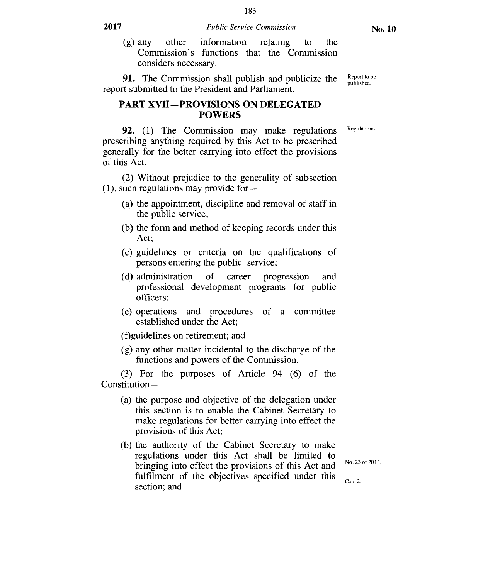(g) any other information relating to the Commission's functions that the Commission considers necessary.

91. The Commission shall publish and publicize the report submitted to the President and Parliament.

#### **PART XVII—PROVISIONS ON DELEGATED POWERS**

Regulations.

Report to be published.

92. (1) The Commission may make regulations prescribing anything required by this Act to be prescribed generally for the better carrying into effect the provisions of this Act.

(2) Without prejudice to the generality of subsection (1), such regulations may provide for —

- (a) the appointment, discipline and removal of staff in the public service;
- (b) the form and method of keeping records under this Act;
- (c) guidelines or criteria on the qualifications of persons entering the public service;
- (d) administration of career progression and professional development programs for public officers;
- (e) operations and procedures of a committee established under the Act;

(f)guidelines on retirement; and

(g) any other matter incidental to the discharge of the functions and powers of the Commission.

(3) For the purposes of Article 94 (6) of the Constitution —

- (a) the purpose and objective of the delegation under this section is to enable the Cabinet Secretary to make regulations for better carrying into effect the provisions of this Act;
- (b) the authority of the Cabinet Secretary to make regulations under this Act shall be limited to bringing into effect the provisions of this Act and fulfilment of the objectives specified under this section; and

No. 23 of 2013.

Cap. 2.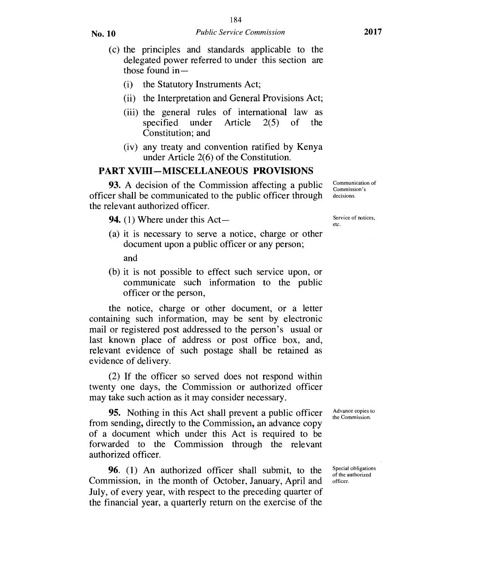- (c) the principles and standards applicable to the delegated power referred to under this section are those found  $in-$ 
	- (i) the Statutory Instruments Act;
	- (ii) the Interpretation and General Provisions Act;
	- (iii) the general rules of international law as<br>specified under Article  $2(5)$  of the specified under Constitution; and
	- (iv) any treaty and convention ratified by Kenya under Article 2(6) of the Constitution.

### **PART XVIII—MISCELLANEOUS PROVISIONS**

**93.** A decision of the Commission affecting a public officer shall be communicated to the public officer through the relevant authorized officer.

**94.** (1) Where under this Act—

(a) it is necessary to serve a notice, charge or other document upon a public officer or any person;

and

(b) it is not possible to effect such service upon, or communicate such information to the public officer or the person,

the notice, charge or other document, or a letter containing such information, may be sent by electronic mail or registered post addressed to the person's usual or last known place of address or post office box, and, relevant evidence of such postage shall be retained as evidence of delivery.

(2) If the officer so served does not respond within twenty one days, the Commission or authorized officer may take such action as it may consider necessary.

**95.** Nothing in this Act shall prevent a public officer from sending, directly to the Commission, an advance copy of a document which under this Act is required to be forwarded to the Commission through the relevant authorized officer.

**96.** (1) An authorized officer shall submit, to the Commission, in the month of October, January, April and July, of every year, with respect to the preceding quarter of the financial year, a quarterly return on the exercise of the Communication of Commission's decisions.

Service of notices, etc.

Advance copies to the Commission.

Special obligations of the authorized officer.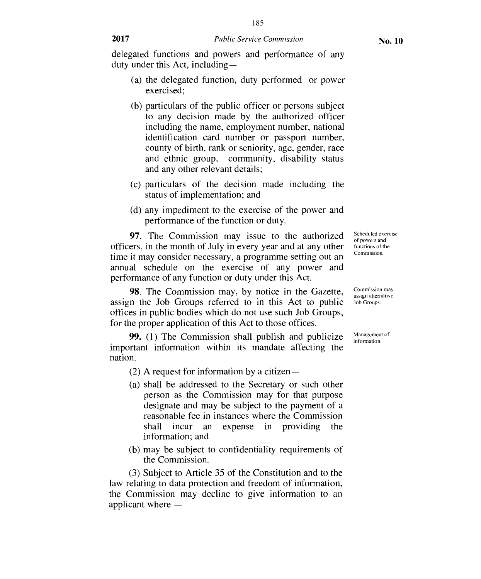- (a) the delegated function, duty performed or power exercised;
- (b) particulars of the public officer or persons subject to any decision made by the authorized officer including the name, employment number, national identification card number or passport number, county of birth, rank or seniority, age, gender, race and ethnic group, community, disability status and any other relevant details;
- (c) particulars of the decision made including the status of implementation; and
- (d) any impediment to the exercise of the power and performance of the function or duty.

97. The Commission may issue to the authorized officers, in the month of July in every year and at any other time it may consider necessary, a programme setting out an annual schedule on the exercise of any power and performance of any function or duty under this Act.

98. The Commission may, by notice in the Gazette, assign the Job Groups referred to in this Act to public offices in public bodies which do not use such Job Groups, for the proper application of this Act to those offices.

99. (1) The Commission shall publish and publicize important information within its mandate affecting the nation.

(2) A request for information by a citizen —

- (a) shall be addressed to the Secretary or such other person as the Commission may for that purpose designate and may be subject to the payment of a reasonable fee in instances where the Commission shall incur an expense in providing the information; and
- (b) may be subject to confidentiality requirements of the Commission.

(3) Subject to Article 35 of the Constitution and to the law relating to data protection and freedom of information, the Commission may decline to give information to an applicant where —

Scheduled exercise of powers and functions of the Commission.

Commission may assign alternative Job Groups.

Management of information.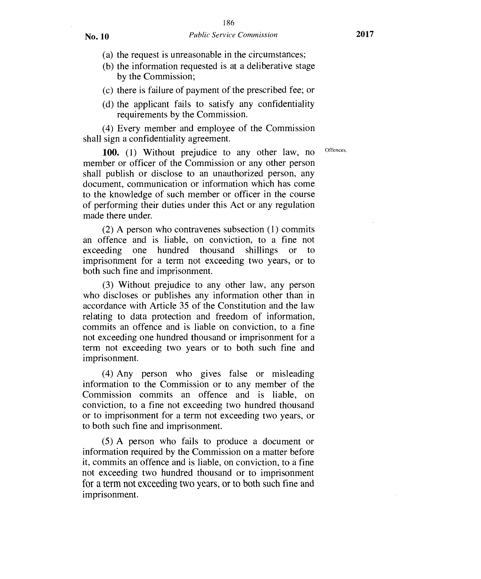- (a) the request is unreasonable in the circumstances;
- (b) the information requested is at a deliberative stage by the Commission;
- (c) there is failure of payment of the prescribed fee; or
- (d) the applicant fails to satisfy any confidentiality requirements by the Commission.

(4) Every member and employee of the Commission shall sign a confidentiality agreement.

100. (1) Without prejudice to any other law, no <sup>Offences</sup> member or officer of the Commission or any other person shall publish or disclose to an unauthorized person, any document, communication or information which has come to the knowledge of such member or officer in the course of performing their duties under this Act or any regulation made there under.

(2) A person who contravenes subsection (1) commits an offence and is liable, on conviction, to a fine not exceeding one hundred thousand shillings or to exceeding one hundred thousand shillings or to imprisonment for a term not exceeding two years, or to both such fine and imprisonment.

(3) Without prejudice to any other law, any person who discloses or publishes any information other than in accordance with Article 35 of the Constitution and the law relating to data protection and freedom of information, commits an offence and is liable on conviction, to a fine not exceeding one hundred thousand or imprisonment for a term not exceeding two years or to both such fine and imprisonment.

(4) Any person who gives false or misleading information to the Commission or to any member of the Commission commits an offence and is liable, on conviction, to a fine not exceeding two hundred thousand or to imprisonment for a term not exceeding two years, or to both such fine and imprisonment.

(5) A person who fails to produce a document or information required by the Commission on a matter before it, commits an offence and is liable, on conviction, to a fine not exceeding two hundred thousand or to imprisonment for a term not exceeding two years, or to both such fine and imprisonment.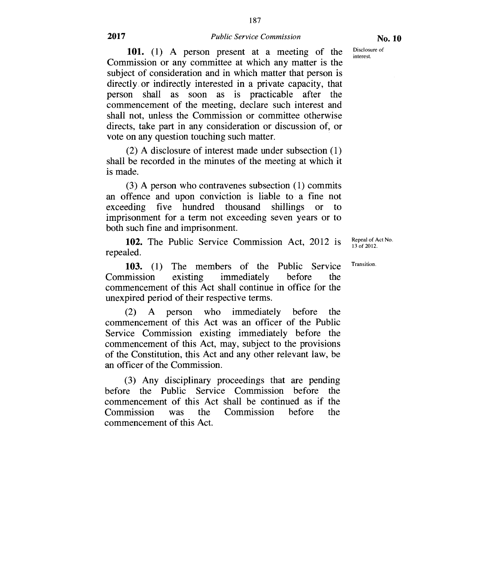187

Disclosure of interest.

101. (1) A person present at a meeting of the Commission or any committee at which any matter is the subject of consideration and in which matter that person is directly or indirectly interested in a private capacity, that person shall as soon as is practicable after the commencement of the meeting, declare such interest and shall not, unless the Commission or committee otherwise directs, take part in any consideration or discussion of, or vote on any question touching such matter.

(2) A disclosure of interest made under subsection (1) shall be recorded in the minutes of the meeting at which it is made.

(3) A person who contravenes subsection (1) commits an offence and upon conviction is liable to a fine not exceeding five hundred thousand shillings or to imprisonment for a term not exceeding seven years or to both such fine and imprisonment.

**102.** The Public Service Commission Act, 2012 is repealed.

Repeal of Act No. 13 of 2012.

Transition.

**103.** (1) The members of the Public Service Commission existing immediately before the commencement of this Act shall continue in office for the unexpired period of their respective terms.

(2) A person who immediately before the commencement of this Act was an officer of the Public Service Commission existing immediately before the commencement of this Act, may, subject to the provisions of the Constitution, this Act and any other relevant law, be an officer of the Commission.

(3) Any disciplinary proceedings that are pending before the Public Service Commission before the commencement of this Act shall be continued as if the Commission was the Commission before the commencement of this Act.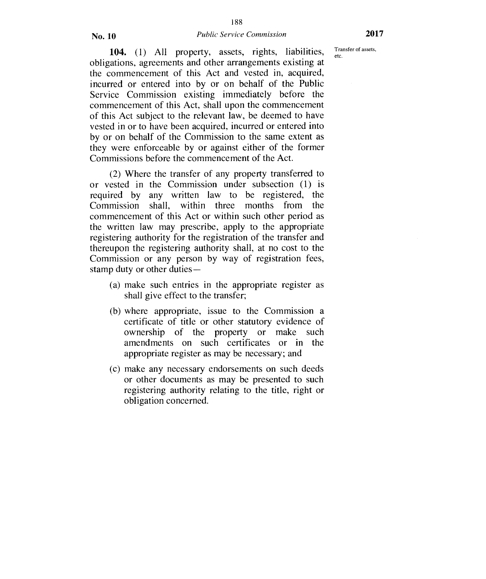#### No. 10 *Public Service Commission* **2017**

Transfer of assets,

**104.** (1) All property, assets, rights, liabilities, <sup>Tra</sup> obligations, agreements and other arrangements existing at the commencement of this Act and vested in, acquired, incurred or entered into by or on behalf of the Public Service Commission existing immediately before the commencement of this Act, shall upon the commencement of this Act subject to the relevant law, be deemed to have vested in or to have been acquired, incurred or entered into by or on behalf of the Commission to the same extent as they were enforceable by or against either of the former Commissions before the commencement of the Act.

(2) Where the transfer of any property transferred to or vested in the Commission under subsection (1) is required by any written law to be registered, the Commission shall, within three months from the Commission shall, within three months from commencement of this Act or within such other period as the written law may prescribe, apply to the appropriate registering authority for the registration of the transfer and thereupon the registering authority shall, at no cost to the Commission or any person by way of registration fees, stamp duty or other duties —

- (a) make such entries in the appropriate register as shall give effect to the transfer;
- (b) where appropriate, issue to the Commission a certificate of title or other statutory evidence of ownership of the property or make such amendments on such certificates or in the appropriate register as may be necessary; and
- (c) make any necessary endorsements on such deeds or other documents as may be presented to such registering authority relating to the title, right or obligation concerned.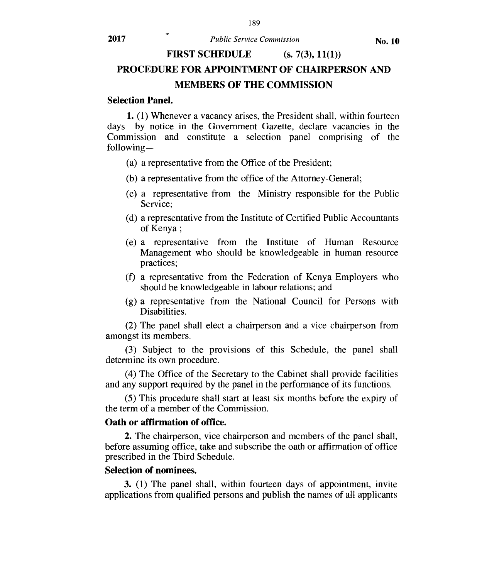# **FIRST SCHEDULE** (s. 7(3), 11(1)) **PROCEDURE FOR APPOINTMENT OF CHAIRPERSON AND MEMBERS OF THE COMMISSION**

#### **Selection Panel.**

**1.** (1) Whenever a vacancy arises, the President shall, within fourteen days by notice in the Government Gazette, declare vacancies in the Commission and constitute a selection panel comprising of the following —

- (a) a representative from the Office of the President;
- (b) a representative from the office of the Attorney-General;
- (c) a representative from the Ministry responsible for the Public Service;
- (d) a representative from the Institute of Certified Public Accountants of Kenya ;
- (e) a representative from the Institute of Human Resource Management who should be knowledgeable in human resource practices;
- (f) a representative from the Federation of Kenya Employers who should be knowledgeable in labour relations; and
- (g) a representative from the National Council for Persons with Disabilities.

(2) The panel shall elect a chairperson and a vice chairperson from amongst its members.

(3) Subject to the provisions of this Schedule, the panel shall determine its own procedure.

(4) The Office of the Secretary to the Cabinet shall provide facilities and any support required by the panel in the performance of its functions.

(5) This procedure shall start at least six months before the expiry of the term of a member of the Commission.

#### **Oath or affirmation of office.**

**2.** The chairperson, vice chairperson and members of the panel shall, before assuming office, take and subscribe the oath or affirmation of office prescribed in the Third Schedule.

#### **Selection of nominees.**

**3.** (1) The panel shall, within fourteen days of appointment, invite applications from qualified persons and publish the names of all applicants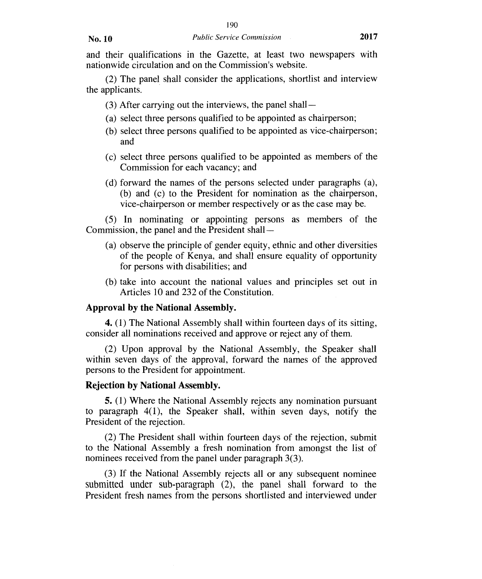and their qualifications in the Gazette, at least two newspapers with nationwide circulation and on the Commission's website.

(2) The panel shall consider the applications, shortlist and interview the applicants.

- (3) After carrying out the interviews, the panel shall —
- (a) select three persons qualified to be appointed as chairperson;
- (b) select three persons qualified to be appointed as vice-chairperson; and
- (c) select three persons qualified to be appointed as members of the Commission for each vacancy; and
- (d) forward the names of the persons selected under paragraphs (a), (b) and (c) to the President for nomination as the chairperson, vice-chairperson or member respectively or as the case may be.

(5) In nominating or appointing persons as members of the Commission, the panel and the President shall —

- (a) observe the principle of gender equity, ethnic and other diversities of the people of Kenya, and shall ensure equality of opportunity for persons with disabilities; and
- (b) take into account the national values and principles set out in Articles 10 and 232 of the Constitution.

#### **Approval by the National Assembly.**

4. (1) The National Assembly shall within fourteen days of its sitting, consider all nominations received and approve or reject any of them.

(2) Upon approval by the National Assembly, the Speaker shall within seven days of the approval, forward the names of the approved persons to the President for appointment.

#### **Rejection by National Assembly.**

5. (1) Where the National Assembly rejects any nomination pursuant to paragraph 4(1), the Speaker shall, within seven days, notify the President of the rejection.

(2) The President shall within fourteen days of the rejection, submit to the National Assembly a fresh nomination from amongst the list of nominees received from the panel under paragraph 3(3).

(3) If the National Assembly rejects all or any subsequent nominee submitted under sub-paragraph (2), the panel shall forward to the President fresh names from the persons shortlisted and interviewed under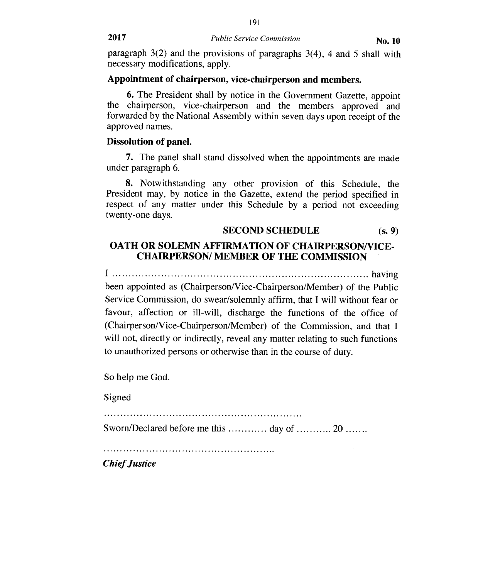paragraph  $3(2)$  and the provisions of paragraphs  $3(4)$ , 4 and 5 shall with necessary modifications, apply.

# **Appointment of chairperson, vice-chairperson and members.**

6. The President shall by notice in the Government Gazette, appoint the chairperson, vice-chairperson and the members approved and forwarded by the National Assembly within seven days upon receipt of the approved names.

# **Dissolution of panel.**

7. The panel shall stand dissolved when the appointments are made under paragraph 6.

8. Notwithstanding any other provision of this Schedule, the President may, by notice in the Gazette, extend the period specified in respect of any matter under this Schedule by a period not exceeding twenty-one days.

# **SECOND SCHEDULE** (s. 9)

# **OATH OR SOLEMN AFFIRMATION OF CHAIRPERSON/VICE-CHAIRPERSON/ MEMBER OF THE COMMISSION**

I having

been appointed as (Chairperson/Vice-Chairperson/Member) of the Public Service Commission, do swear/solemnly affirm, that **I** will without fear or favour, affection or ill-will, discharge the functions of the office of (Chairperson/Vice-Chairperson/Member) of the Commission, and that I will not, directly or indirectly, reveal any matter relating to such functions to unauthorized persons or otherwise than in the course of duty.

So help me God.

Signed

Sworn/Declared before me this  $\dots \dots \dots \dots$  day of  $\dots \dots \dots 20 \dots \dots$ 

*Chief Justice*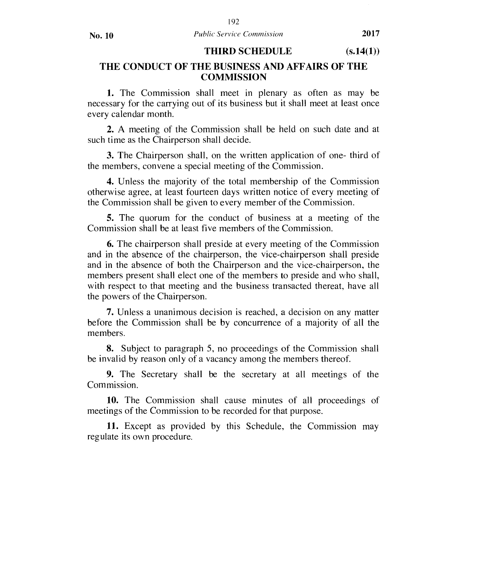### THIRD SCHEDULE (s.14(1))

# THE CONDUCT OF THE BUSINESS AND AFFAIRS OF THE **COMMISSION**

1. The Commission shall meet in plenary as often as may be necessary for the carrying out of its business but it shall meet at least once every calendar month.

2. A meeting of the Commission shall be held on such date and at such time as the Chairperson shall decide.

3. The Chairperson shall, on the written application of one- third of the members, convene a special meeting of the Commission.

4. Unless the majority of the total membership of the Commission otherwise agree, at least fourteen days written notice of every meeting of the Commission shall be given to every member of the Commission.

5. The quorum for the conduct of business at a meeting of the Commission shall be at least five members of the Commission.

6. The chairperson shall preside at every meeting of the Commission and in the absence of the chairperson, the vice-chairperson shall preside and in the absence of both the Chairperson and the vice-chairperson, the members present shall elect one of the members to preside and who shall, with respect to that meeting and the business transacted thereat, have all the powers of the Chairperson.

7. Unless a unanimous decision is reached, a decision on any matter before the Commission shall be by concurrence of a majority of all the members.

8. Subject to paragraph 5, no proceedings of the Commission shall be invalid by reason only of a vacancy among the members thereof.

9. The Secretary shall be the secretary at all meetings of the Commission.

10. The Commission shall cause minutes of all proceedings of meetings of the Commission to be recorded for that purpose.

11. Except as provided by this Schedule, the Commission may regulate its own procedure.